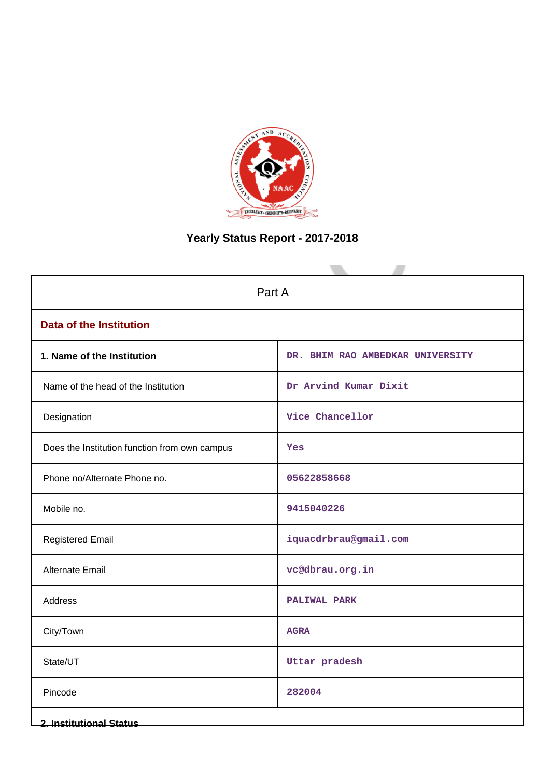

# **Yearly Status Report - 2017-2018**

| Part A                                        |                                  |  |  |  |  |  |
|-----------------------------------------------|----------------------------------|--|--|--|--|--|
| <b>Data of the Institution</b>                |                                  |  |  |  |  |  |
| 1. Name of the Institution                    | DR. BHIM RAO AMBEDKAR UNIVERSITY |  |  |  |  |  |
| Name of the head of the Institution           | Dr Arvind Kumar Dixit            |  |  |  |  |  |
| Designation                                   | Vice Chancellor                  |  |  |  |  |  |
| Does the Institution function from own campus | Yes                              |  |  |  |  |  |
| Phone no/Alternate Phone no.                  | 05622858668                      |  |  |  |  |  |
| Mobile no.                                    | 9415040226                       |  |  |  |  |  |
| <b>Registered Email</b>                       | iquacdrbrau@gmail.com            |  |  |  |  |  |
| Alternate Email                               | vc@dbrau.org.in                  |  |  |  |  |  |
| Address                                       | <b>PALIWAL PARK</b>              |  |  |  |  |  |
| City/Town                                     | <b>AGRA</b>                      |  |  |  |  |  |
| State/UT                                      | Uttar pradesh                    |  |  |  |  |  |
| Pincode                                       | 282004                           |  |  |  |  |  |
| <b>2. Institutional Status</b>                |                                  |  |  |  |  |  |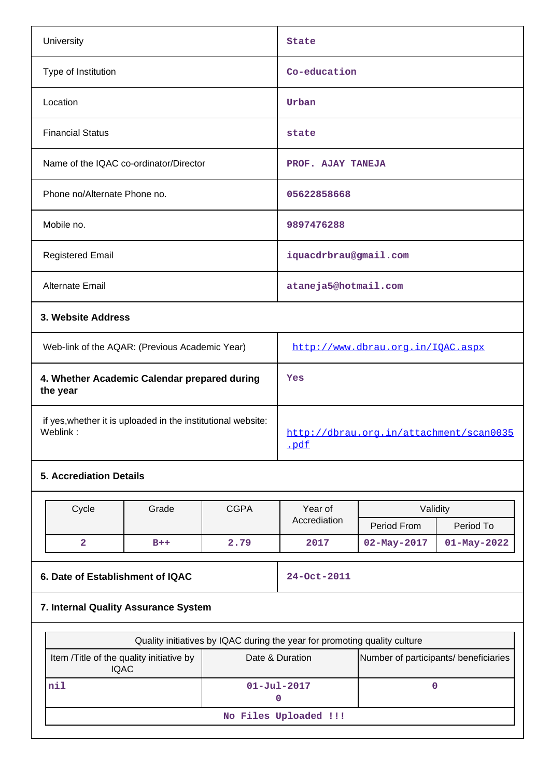|            | University                                                               |                                                |             | <b>State</b>                                    |                    |                  |  |
|------------|--------------------------------------------------------------------------|------------------------------------------------|-------------|-------------------------------------------------|--------------------|------------------|--|
|            | Type of Institution                                                      |                                                |             | Co-education                                    |                    |                  |  |
|            | Location                                                                 |                                                |             | Urban                                           |                    |                  |  |
|            | <b>Financial Status</b>                                                  |                                                |             | state                                           |                    |                  |  |
|            |                                                                          | Name of the IQAC co-ordinator/Director         |             | PROF. AJAY TANEJA                               |                    |                  |  |
|            | Phone no/Alternate Phone no.                                             |                                                |             | 05622858668                                     |                    |                  |  |
| Mobile no. |                                                                          |                                                | 9897476288  |                                                 |                    |                  |  |
|            | <b>Registered Email</b>                                                  |                                                |             | iquacdrbrau@gmail.com                           |                    |                  |  |
|            | Alternate Email                                                          |                                                |             | ataneja5@hotmail.com                            |                    |                  |  |
|            | 3. Website Address                                                       |                                                |             |                                                 |                    |                  |  |
|            |                                                                          | Web-link of the AQAR: (Previous Academic Year) |             | http://www.dbrau.org.in/IQAC.aspx               |                    |                  |  |
|            | 4. Whether Academic Calendar prepared during<br>the year                 |                                                |             | Yes                                             |                    |                  |  |
|            | if yes, whether it is uploaded in the institutional website:<br>Weblink: |                                                |             | http://dbrau.org.in/attachment/scan0035<br>.pdf |                    |                  |  |
|            | <b>5. Accrediation Details</b>                                           |                                                |             |                                                 |                    |                  |  |
|            |                                                                          |                                                |             |                                                 |                    |                  |  |
|            | Cycle                                                                    | Grade                                          | <b>CGPA</b> | Year of                                         | Validity           |                  |  |
|            |                                                                          |                                                |             | Accrediation                                    | <b>Pariod From</b> | <b>Pariod To</b> |  |

| $\sim$ , $\sim$ . $\sim$ | <b>Prov</b> | <u>         v v i v v </u><br>ו שעו<br>$"$ under |              |                   |                   |
|--------------------------|-------------|--------------------------------------------------|--------------|-------------------|-------------------|
|                          |             |                                                  | Accrediation | Period From       | Period To         |
|                          | B++         | 2.79                                             | 2017         | $02 - May - 2017$ | $01 - May - 2022$ |
|                          |             |                                                  |              |                   |                   |

### **6. Date of Establishment of IQAC** 24-Oct-2011

## **7. Internal Quality Assurance System**

| Quality initiatives by IQAC during the year for promoting quality culture |                   |                                       |  |  |  |  |
|---------------------------------------------------------------------------|-------------------|---------------------------------------|--|--|--|--|
| Item / Title of the quality initiative by<br>IQAC.                        | Date & Duration   | Number of participants/ beneficiaries |  |  |  |  |
| nil                                                                       | $01 - Ju1 - 2017$ |                                       |  |  |  |  |
| No Files Uploaded !!!                                                     |                   |                                       |  |  |  |  |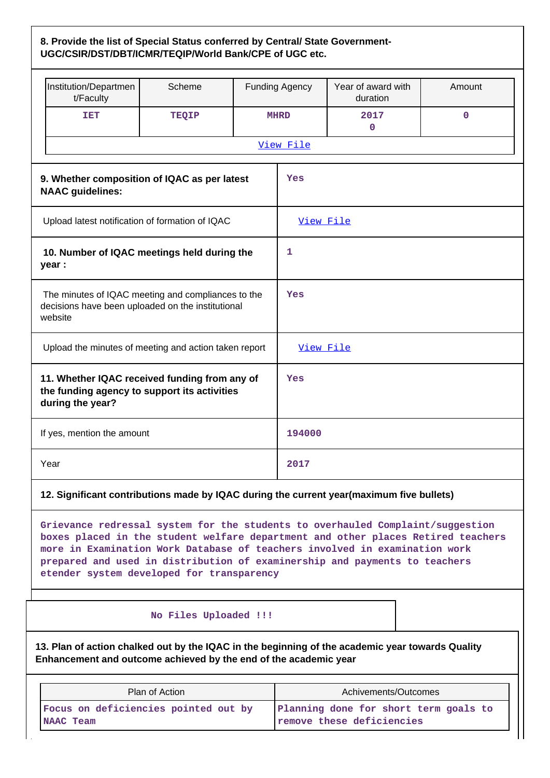### **8. Provide the list of Special Status conferred by Central/ State Government-UGC/CSIR/DST/DBT/ICMR/TEQIP/World Bank/CPE of UGC etc.**

| Institution/Departmen<br>t/Faculty                                                                                                                                                                                                                                                                                                                                          | Scheme                                                                                                                                                               |           | <b>Funding Agency</b>                                              | Year of award with<br>duration | Amount      |  |  |  |
|-----------------------------------------------------------------------------------------------------------------------------------------------------------------------------------------------------------------------------------------------------------------------------------------------------------------------------------------------------------------------------|----------------------------------------------------------------------------------------------------------------------------------------------------------------------|-----------|--------------------------------------------------------------------|--------------------------------|-------------|--|--|--|
| <b>TET</b>                                                                                                                                                                                                                                                                                                                                                                  | <b>TEQIP</b>                                                                                                                                                         |           | <b>MHRD</b>                                                        | 2017<br>0                      | $\mathbf 0$ |  |  |  |
|                                                                                                                                                                                                                                                                                                                                                                             |                                                                                                                                                                      |           | View File                                                          |                                |             |  |  |  |
| 9. Whether composition of IQAC as per latest<br><b>NAAC</b> guidelines:                                                                                                                                                                                                                                                                                                     |                                                                                                                                                                      |           | Yes                                                                |                                |             |  |  |  |
| Upload latest notification of formation of IQAC                                                                                                                                                                                                                                                                                                                             |                                                                                                                                                                      |           | View File                                                          |                                |             |  |  |  |
| 10. Number of IQAC meetings held during the<br>year :                                                                                                                                                                                                                                                                                                                       | 1                                                                                                                                                                    |           |                                                                    |                                |             |  |  |  |
| The minutes of IQAC meeting and compliances to the<br>decisions have been uploaded on the institutional<br>website                                                                                                                                                                                                                                                          | Yes                                                                                                                                                                  |           |                                                                    |                                |             |  |  |  |
| Upload the minutes of meeting and action taken report                                                                                                                                                                                                                                                                                                                       |                                                                                                                                                                      | View File |                                                                    |                                |             |  |  |  |
| 11. Whether IQAC received funding from any of<br>the funding agency to support its activities<br>during the year?                                                                                                                                                                                                                                                           |                                                                                                                                                                      |           | Yes                                                                |                                |             |  |  |  |
| If yes, mention the amount                                                                                                                                                                                                                                                                                                                                                  |                                                                                                                                                                      |           | 194000                                                             |                                |             |  |  |  |
| Year                                                                                                                                                                                                                                                                                                                                                                        |                                                                                                                                                                      |           | 2017                                                               |                                |             |  |  |  |
| 12. Significant contributions made by IQAC during the current year(maximum five bullets)                                                                                                                                                                                                                                                                                    |                                                                                                                                                                      |           |                                                                    |                                |             |  |  |  |
| Grievance redressal system for the students to overhauled Complaint/suggestion<br>boxes placed in the student welfare department and other places Retired teachers<br>more in Examination Work Database of teachers involved in examination work<br>prepared and used in distribution of examinership and payments to teachers<br>etender system developed for transparency |                                                                                                                                                                      |           |                                                                    |                                |             |  |  |  |
| No Files Uploaded !!!                                                                                                                                                                                                                                                                                                                                                       |                                                                                                                                                                      |           |                                                                    |                                |             |  |  |  |
|                                                                                                                                                                                                                                                                                                                                                                             | 13. Plan of action chalked out by the IQAC in the beginning of the academic year towards Quality<br>Enhancement and outcome achieved by the end of the academic year |           |                                                                    |                                |             |  |  |  |
|                                                                                                                                                                                                                                                                                                                                                                             | Plan of Action                                                                                                                                                       |           | Achivements/Outcomes                                               |                                |             |  |  |  |
| Focus on deficiencies pointed out by<br>NAAC Team                                                                                                                                                                                                                                                                                                                           |                                                                                                                                                                      |           | Planning done for short term goals to<br>remove these deficiencies |                                |             |  |  |  |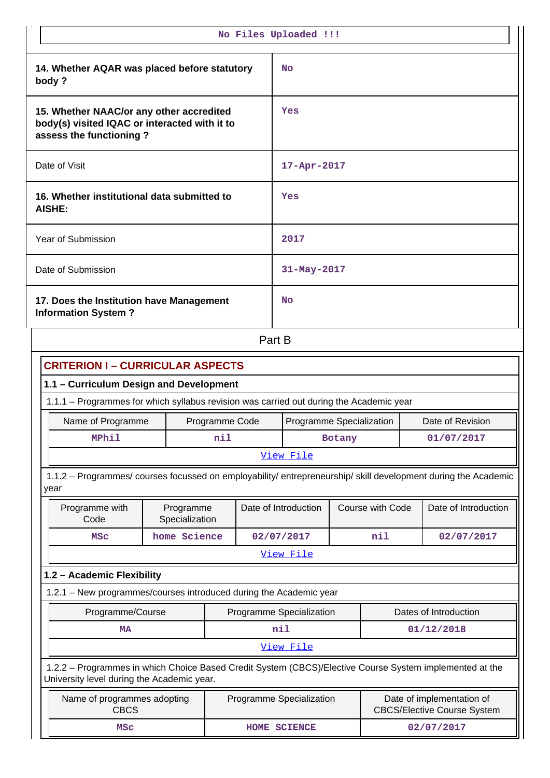| No Files Uploaded !!!                                                                                                                                 |                             |              |                                              |  |            |                      |                                                                 |
|-------------------------------------------------------------------------------------------------------------------------------------------------------|-----------------------------|--------------|----------------------------------------------|--|------------|----------------------|-----------------------------------------------------------------|
| 14. Whether AQAR was placed before statutory<br>body?                                                                                                 |                             |              | No                                           |  |            |                      |                                                                 |
| 15. Whether NAAC/or any other accredited<br>body(s) visited IQAC or interacted with it to<br>assess the functioning?                                  |                             |              | Yes                                          |  |            |                      |                                                                 |
| Date of Visit                                                                                                                                         |                             |              | $17 - Apr - 2017$                            |  |            |                      |                                                                 |
| 16. Whether institutional data submitted to<br>AISHE:                                                                                                 |                             |              | Yes                                          |  |            |                      |                                                                 |
| <b>Year of Submission</b>                                                                                                                             |                             |              | 2017                                         |  |            |                      |                                                                 |
| Date of Submission                                                                                                                                    |                             |              | 31-May-2017                                  |  |            |                      |                                                                 |
| 17. Does the Institution have Management<br><b>Information System?</b>                                                                                |                             |              | No                                           |  |            |                      |                                                                 |
| Part B                                                                                                                                                |                             |              |                                              |  |            |                      |                                                                 |
| <b>CRITERION I - CURRICULAR ASPECTS</b>                                                                                                               |                             |              |                                              |  |            |                      |                                                                 |
| 1.1 - Curriculum Design and Development                                                                                                               |                             |              |                                              |  |            |                      |                                                                 |
| 1.1.1 - Programmes for which syllabus revision was carried out during the Academic year                                                               |                             |              |                                              |  |            |                      |                                                                 |
| Name of Programme                                                                                                                                     | Programme Code              |              | Date of Revision<br>Programme Specialization |  |            |                      |                                                                 |
| <b>MPhil</b>                                                                                                                                          | nil                         |              | Botany                                       |  | 01/07/2017 |                      |                                                                 |
|                                                                                                                                                       |                             |              | View File                                    |  |            |                      |                                                                 |
| 1.1.2 - Programmes/ courses focussed on employability/ entrepreneurship/ skill development during the Academic<br>year                                |                             |              |                                              |  |            |                      |                                                                 |
| Programme with<br>Code                                                                                                                                | Programme<br>Specialization |              | Date of Introduction<br>Course with Code     |  |            | Date of Introduction |                                                                 |
| <b>MSC</b>                                                                                                                                            | home Science                | 02/07/2017   |                                              |  | nil        |                      | 02/07/2017                                                      |
|                                                                                                                                                       |                             |              | View File                                    |  |            |                      |                                                                 |
| 1.2 - Academic Flexibility                                                                                                                            |                             |              |                                              |  |            |                      |                                                                 |
| 1.2.1 - New programmes/courses introduced during the Academic year                                                                                    |                             |              |                                              |  |            |                      |                                                                 |
| Programme/Course                                                                                                                                      |                             |              | Programme Specialization                     |  |            |                      | Dates of Introduction                                           |
| <b>MA</b>                                                                                                                                             |                             |              | nil                                          |  |            |                      | 01/12/2018                                                      |
|                                                                                                                                                       |                             |              | View File                                    |  |            |                      |                                                                 |
| 1.2.2 - Programmes in which Choice Based Credit System (CBCS)/Elective Course System implemented at the<br>University level during the Academic year. |                             |              |                                              |  |            |                      |                                                                 |
| Name of programmes adopting<br><b>CBCS</b>                                                                                                            |                             |              | Programme Specialization                     |  |            |                      | Date of implementation of<br><b>CBCS/Elective Course System</b> |
| <b>MSC</b>                                                                                                                                            |                             | HOME SCIENCE |                                              |  |            |                      | 02/07/2017                                                      |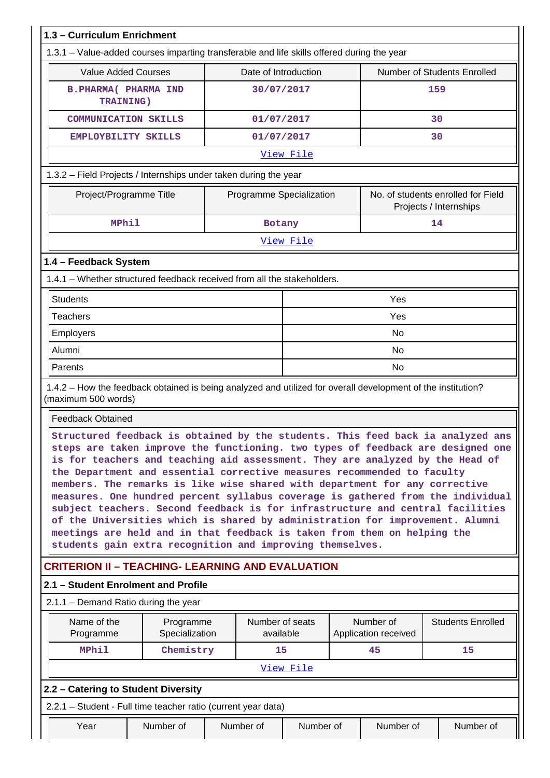| 1.3 - Curriculum Enrichment                                                                                                                                                                                                                                                                                                                                                                                                                                                                                                                                                                                                                                                                                                                                                                                  |                             |  |                              |                          |  |                                   |                                                              |
|--------------------------------------------------------------------------------------------------------------------------------------------------------------------------------------------------------------------------------------------------------------------------------------------------------------------------------------------------------------------------------------------------------------------------------------------------------------------------------------------------------------------------------------------------------------------------------------------------------------------------------------------------------------------------------------------------------------------------------------------------------------------------------------------------------------|-----------------------------|--|------------------------------|--------------------------|--|-----------------------------------|--------------------------------------------------------------|
| 1.3.1 – Value-added courses imparting transferable and life skills offered during the year                                                                                                                                                                                                                                                                                                                                                                                                                                                                                                                                                                                                                                                                                                                   |                             |  |                              |                          |  |                                   |                                                              |
| <b>Value Added Courses</b>                                                                                                                                                                                                                                                                                                                                                                                                                                                                                                                                                                                                                                                                                                                                                                                   |                             |  | Date of Introduction         |                          |  |                                   | Number of Students Enrolled                                  |
| <b>B. PHARMA ( PHARMA IND</b><br><b>TRAINING)</b>                                                                                                                                                                                                                                                                                                                                                                                                                                                                                                                                                                                                                                                                                                                                                            |                             |  | 30/07/2017                   |                          |  |                                   | 159                                                          |
| <b>COMMUNICATION SKILLS</b>                                                                                                                                                                                                                                                                                                                                                                                                                                                                                                                                                                                                                                                                                                                                                                                  |                             |  | 01/07/2017                   |                          |  |                                   | 30                                                           |
| EMPLOYBILITY SKILLS                                                                                                                                                                                                                                                                                                                                                                                                                                                                                                                                                                                                                                                                                                                                                                                          |                             |  | 01/07/2017                   |                          |  |                                   | 30                                                           |
|                                                                                                                                                                                                                                                                                                                                                                                                                                                                                                                                                                                                                                                                                                                                                                                                              |                             |  |                              | View File                |  |                                   |                                                              |
| 1.3.2 - Field Projects / Internships under taken during the year                                                                                                                                                                                                                                                                                                                                                                                                                                                                                                                                                                                                                                                                                                                                             |                             |  |                              |                          |  |                                   |                                                              |
| Project/Programme Title                                                                                                                                                                                                                                                                                                                                                                                                                                                                                                                                                                                                                                                                                                                                                                                      |                             |  |                              | Programme Specialization |  |                                   | No. of students enrolled for Field<br>Projects / Internships |
| <b>MPhil</b>                                                                                                                                                                                                                                                                                                                                                                                                                                                                                                                                                                                                                                                                                                                                                                                                 |                             |  | Botany                       |                          |  |                                   | 14                                                           |
|                                                                                                                                                                                                                                                                                                                                                                                                                                                                                                                                                                                                                                                                                                                                                                                                              |                             |  |                              | View File                |  |                                   |                                                              |
| 1.4 - Feedback System                                                                                                                                                                                                                                                                                                                                                                                                                                                                                                                                                                                                                                                                                                                                                                                        |                             |  |                              |                          |  |                                   |                                                              |
| 1.4.1 – Whether structured feedback received from all the stakeholders.                                                                                                                                                                                                                                                                                                                                                                                                                                                                                                                                                                                                                                                                                                                                      |                             |  |                              |                          |  |                                   |                                                              |
| <b>Students</b>                                                                                                                                                                                                                                                                                                                                                                                                                                                                                                                                                                                                                                                                                                                                                                                              | Yes                         |  |                              |                          |  |                                   |                                                              |
| <b>Teachers</b>                                                                                                                                                                                                                                                                                                                                                                                                                                                                                                                                                                                                                                                                                                                                                                                              |                             |  |                              |                          |  | Yes                               |                                                              |
| Employers                                                                                                                                                                                                                                                                                                                                                                                                                                                                                                                                                                                                                                                                                                                                                                                                    |                             |  |                              |                          |  | <b>No</b>                         |                                                              |
| Alumni                                                                                                                                                                                                                                                                                                                                                                                                                                                                                                                                                                                                                                                                                                                                                                                                       |                             |  |                              | <b>No</b>                |  |                                   |                                                              |
| Parents                                                                                                                                                                                                                                                                                                                                                                                                                                                                                                                                                                                                                                                                                                                                                                                                      |                             |  |                              | <b>No</b>                |  |                                   |                                                              |
| 1.4.2 – How the feedback obtained is being analyzed and utilized for overall development of the institution?<br>(maximum 500 words)<br><b>Feedback Obtained</b>                                                                                                                                                                                                                                                                                                                                                                                                                                                                                                                                                                                                                                              |                             |  |                              |                          |  |                                   |                                                              |
| Structured feedback is obtained by the students. This feed back ia analyzed ans<br>steps are taken improve the functioning. two types of feedback are designed one<br>is for teachers and teaching aid assessment. They are analyzed by the Head of<br>the Department and essential corrective measures recommended to faculty<br>members. The remarks is like wise shared with department for any corrective<br>measures. One hundred percent syllabus coverage is gathered from the individual<br>subject teachers. Second feedback is for infrastructure and central facilities<br>of the Universities which is shared by administration for improvement. Alumni<br>meetings are held and in that feedback is taken from them on helping the<br>students gain extra recognition and improving themselves. |                             |  |                              |                          |  |                                   |                                                              |
| <b>CRITERION II - TEACHING- LEARNING AND EVALUATION</b>                                                                                                                                                                                                                                                                                                                                                                                                                                                                                                                                                                                                                                                                                                                                                      |                             |  |                              |                          |  |                                   |                                                              |
| 2.1 - Student Enrolment and Profile                                                                                                                                                                                                                                                                                                                                                                                                                                                                                                                                                                                                                                                                                                                                                                          |                             |  |                              |                          |  |                                   |                                                              |
| 2.1.1 – Demand Ratio during the year                                                                                                                                                                                                                                                                                                                                                                                                                                                                                                                                                                                                                                                                                                                                                                         |                             |  |                              |                          |  |                                   |                                                              |
| Name of the<br>Programme                                                                                                                                                                                                                                                                                                                                                                                                                                                                                                                                                                                                                                                                                                                                                                                     | Programme<br>Specialization |  | Number of seats<br>available |                          |  | Number of<br>Application received | <b>Students Enrolled</b>                                     |
| <b>MPhil</b>                                                                                                                                                                                                                                                                                                                                                                                                                                                                                                                                                                                                                                                                                                                                                                                                 | Chemistry                   |  | 15                           |                          |  | 45                                | 15                                                           |
|                                                                                                                                                                                                                                                                                                                                                                                                                                                                                                                                                                                                                                                                                                                                                                                                              |                             |  |                              | View File                |  |                                   |                                                              |
| 2.2 - Catering to Student Diversity                                                                                                                                                                                                                                                                                                                                                                                                                                                                                                                                                                                                                                                                                                                                                                          |                             |  |                              |                          |  |                                   |                                                              |
| 2.2.1 - Student - Full time teacher ratio (current year data)                                                                                                                                                                                                                                                                                                                                                                                                                                                                                                                                                                                                                                                                                                                                                |                             |  |                              |                          |  |                                   |                                                              |
| Year                                                                                                                                                                                                                                                                                                                                                                                                                                                                                                                                                                                                                                                                                                                                                                                                         | Number of                   |  | Number of                    | Number of                |  | Number of                         | Number of                                                    |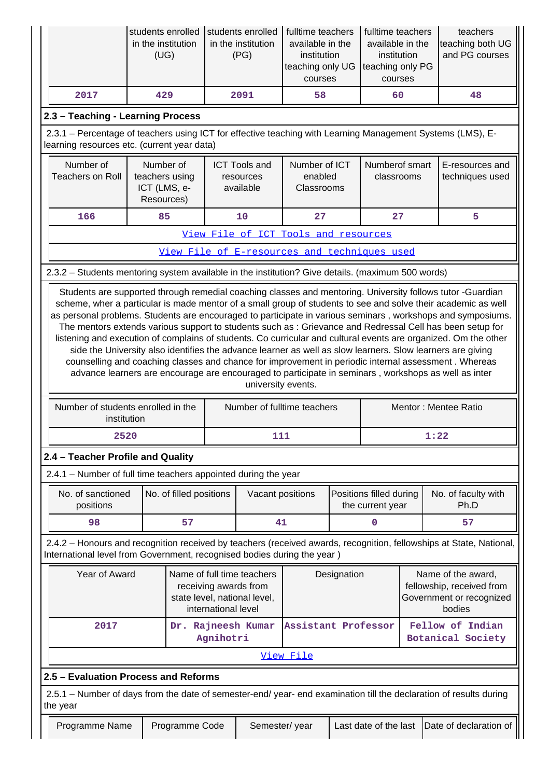|                                   | in the institution<br>(UG) | students enrolled Students enrolled   fulltime teachers<br>in the institution<br>(PG) | available in the<br>institution<br>teaching only UG Iteaching only PG<br>courses | fulltime teachers<br>available in the<br>institution<br>courses | teachers<br>teaching both UG<br>and PG courses |  |
|-----------------------------------|----------------------------|---------------------------------------------------------------------------------------|----------------------------------------------------------------------------------|-----------------------------------------------------------------|------------------------------------------------|--|
| 2017                              | 429                        | 2091                                                                                  | 58                                                                               | 60                                                              | 48                                             |  |
| 2.3 – Teaching - Learning Process |                            |                                                                                       |                                                                                  |                                                                 |                                                |  |

 2.3.1 – Percentage of teachers using ICT for effective teaching with Learning Management Systems (LMS), Elearning resources etc. (current year data)

| Number of<br>Teachers on Roll | Number of<br>teachers using<br>ICT (LMS, e-<br>Resources) | <b>ICT Tools and</b><br>resources<br>available | Number of ICT<br>enabled<br><b>Classrooms</b> | Numberof smart<br>classrooms | E-resources and<br>techniques used |
|-------------------------------|-----------------------------------------------------------|------------------------------------------------|-----------------------------------------------|------------------------------|------------------------------------|
| 166                           | 85                                                        | 10                                             | 27                                            | 27                           |                                    |

[View File of ICT Tools and resources](https://assessmentonline.naac.gov.in/public/Postacc/ict_tools/4164_ict_tools_1583393365.xlsx)

[View File of E-resources and techniques used](https://assessmentonline.naac.gov.in/public/Postacc/e_resource/4164_e_resource_1583393374.xlsx)

2.3.2 – Students mentoring system available in the institution? Give details. (maximum 500 words)

 Students are supported through remedial coaching classes and mentoring. University follows tutor -Guardian scheme, wher a particular is made mentor of a small group of students to see and solve their academic as well as personal problems. Students are encouraged to participate in various seminars , workshops and symposiums. The mentors extends various support to students such as : Grievance and Redressal Cell has been setup for listening and execution of complains of students. Co curricular and cultural events are organized. Om the other side the University also identifies the advance learner as well as slow learners. Slow learners are giving counselling and coaching classes and chance for improvement in periodic internal assessment . Whereas advance learners are encourage are encouraged to participate in seminars , workshops as well as inter university events.

| Number of students enrolled in the<br>institution | Number of fulltime teachers | Mentor: Mentee Ratio |
|---------------------------------------------------|-----------------------------|----------------------|
| 2520                                              | 111                         | 1:22                 |

### **2.4 – Teacher Profile and Quality**

2.4.1 – Number of full time teachers appointed during the year

| No. of sanctioned<br>positions | No. of filled positions | Vacant positions | <b>Positions filled during</b><br>the current year | No. of faculty with<br>Ph.D |
|--------------------------------|-------------------------|------------------|----------------------------------------------------|-----------------------------|
| 98                             | 57                      |                  |                                                    |                             |

 2.4.2 – Honours and recognition received by teachers (received awards, recognition, fellowships at State, National, International level from Government, recognised bodies during the year )

| Year of Award | Name of full time teachers<br>receiving awards from<br>state level, national level,<br>international level | Designation                            | Name of the award,<br>fellowship, received from<br>Government or recognized<br>bodies |
|---------------|------------------------------------------------------------------------------------------------------------|----------------------------------------|---------------------------------------------------------------------------------------|
| 2017          | Agnihotri                                                                                                  | Dr. Rajneesh Kumar Assistant Professor | Fellow of Indian<br>Botanical Society                                                 |

#### [View File](https://assessmentonline.naac.gov.in/public/Postacc/Honours_recieved/4164_Honours_recieved_1583393743.xlsx)

### **2.5 – Evaluation Process and Reforms**

 2.5.1 – Number of days from the date of semester-end/ year- end examination till the declaration of results during the year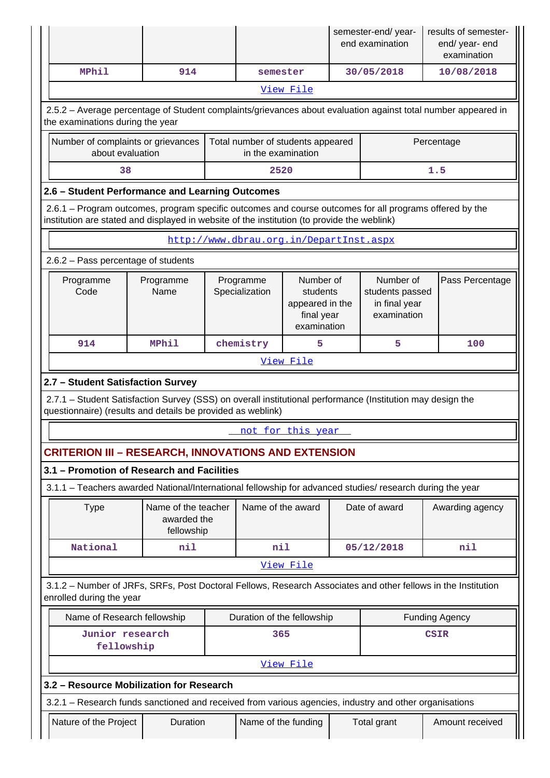|                                                                                                                                                                                                        |                                                 |                                                  |  |                                                         |                                                                       | semester-end/year-<br>end examination                        |               | results of semester-<br>end/year-end<br>examination                                                           |  |  |  |
|--------------------------------------------------------------------------------------------------------------------------------------------------------------------------------------------------------|-------------------------------------------------|--------------------------------------------------|--|---------------------------------------------------------|-----------------------------------------------------------------------|--------------------------------------------------------------|---------------|---------------------------------------------------------------------------------------------------------------|--|--|--|
| <b>MPhil</b>                                                                                                                                                                                           |                                                 | 914                                              |  | semester                                                |                                                                       |                                                              | 30/05/2018    | 10/08/2018                                                                                                    |  |  |  |
|                                                                                                                                                                                                        |                                                 |                                                  |  |                                                         | View File                                                             |                                                              |               |                                                                                                               |  |  |  |
| the examinations during the year                                                                                                                                                                       |                                                 |                                                  |  |                                                         |                                                                       |                                                              |               | 2.5.2 - Average percentage of Student complaints/grievances about evaluation against total number appeared in |  |  |  |
| Number of complaints or grievances<br>about evaluation                                                                                                                                                 |                                                 |                                                  |  | Total number of students appeared<br>in the examination |                                                                       |                                                              |               | Percentage                                                                                                    |  |  |  |
|                                                                                                                                                                                                        | 38                                              |                                                  |  | 2520                                                    |                                                                       |                                                              |               | 1.5                                                                                                           |  |  |  |
|                                                                                                                                                                                                        | 2.6 - Student Performance and Learning Outcomes |                                                  |  |                                                         |                                                                       |                                                              |               |                                                                                                               |  |  |  |
| 2.6.1 – Program outcomes, program specific outcomes and course outcomes for all programs offered by the<br>institution are stated and displayed in website of the institution (to provide the weblink) |                                                 |                                                  |  |                                                         |                                                                       |                                                              |               |                                                                                                               |  |  |  |
|                                                                                                                                                                                                        | http://www.dbrau.org.in/DepartInst.aspx         |                                                  |  |                                                         |                                                                       |                                                              |               |                                                                                                               |  |  |  |
| 2.6.2 - Pass percentage of students                                                                                                                                                                    |                                                 |                                                  |  |                                                         |                                                                       |                                                              |               |                                                                                                               |  |  |  |
| Programme<br>Code                                                                                                                                                                                      |                                                 | Programme<br>Name                                |  | Programme<br>Specialization                             | Number of<br>students<br>appeared in the<br>final year<br>examination | Number of<br>students passed<br>in final year<br>examination |               | Pass Percentage                                                                                               |  |  |  |
| 914                                                                                                                                                                                                    |                                                 | <b>MPhil</b>                                     |  | chemistry                                               | 5                                                                     |                                                              | 5             | 100                                                                                                           |  |  |  |
|                                                                                                                                                                                                        |                                                 |                                                  |  |                                                         | <u>View File</u>                                                      |                                                              |               |                                                                                                               |  |  |  |
| 2.7 - Student Satisfaction Survey                                                                                                                                                                      |                                                 |                                                  |  |                                                         |                                                                       |                                                              |               |                                                                                                               |  |  |  |
| 2.7.1 - Student Satisfaction Survey (SSS) on overall institutional performance (Institution may design the<br>questionnaire) (results and details be provided as weblink)                              |                                                 |                                                  |  |                                                         |                                                                       |                                                              |               |                                                                                                               |  |  |  |
|                                                                                                                                                                                                        |                                                 |                                                  |  |                                                         | not for this year                                                     |                                                              |               |                                                                                                               |  |  |  |
| <b>CRITERION III - RESEARCH, INNOVATIONS AND EXTENSION</b>                                                                                                                                             |                                                 |                                                  |  |                                                         |                                                                       |                                                              |               |                                                                                                               |  |  |  |
| 3.1 - Promotion of Research and Facilities                                                                                                                                                             |                                                 |                                                  |  |                                                         |                                                                       |                                                              |               |                                                                                                               |  |  |  |
| 3.1.1 - Teachers awarded National/International fellowship for advanced studies/ research during the year                                                                                              |                                                 |                                                  |  |                                                         |                                                                       |                                                              |               |                                                                                                               |  |  |  |
| <b>Type</b>                                                                                                                                                                                            |                                                 | Name of the teacher<br>awarded the<br>fellowship |  | Name of the award                                       |                                                                       |                                                              | Date of award | Awarding agency                                                                                               |  |  |  |
| National                                                                                                                                                                                               |                                                 | nil                                              |  | nil                                                     |                                                                       |                                                              | 05/12/2018    | nil                                                                                                           |  |  |  |
|                                                                                                                                                                                                        |                                                 |                                                  |  |                                                         | View File                                                             |                                                              |               |                                                                                                               |  |  |  |
| enrolled during the year                                                                                                                                                                               |                                                 |                                                  |  |                                                         |                                                                       |                                                              |               | 3.1.2 - Number of JRFs, SRFs, Post Doctoral Fellows, Research Associates and other fellows in the Institution |  |  |  |
| Name of Research fellowship                                                                                                                                                                            |                                                 |                                                  |  | Duration of the fellowship                              |                                                                       |                                                              |               | <b>Funding Agency</b>                                                                                         |  |  |  |
| Junior research<br>fellowship                                                                                                                                                                          |                                                 |                                                  |  | 365                                                     |                                                                       |                                                              |               | <b>CSIR</b>                                                                                                   |  |  |  |
|                                                                                                                                                                                                        |                                                 |                                                  |  |                                                         | View File                                                             |                                                              |               |                                                                                                               |  |  |  |
| 3.2 - Resource Mobilization for Research                                                                                                                                                               |                                                 |                                                  |  |                                                         |                                                                       |                                                              |               |                                                                                                               |  |  |  |
| 3.2.1 – Research funds sanctioned and received from various agencies, industry and other organisations                                                                                                 |                                                 |                                                  |  |                                                         |                                                                       |                                                              |               |                                                                                                               |  |  |  |
| Nature of the Project                                                                                                                                                                                  |                                                 | Duration                                         |  | Name of the funding                                     |                                                                       |                                                              | Total grant   | Amount received                                                                                               |  |  |  |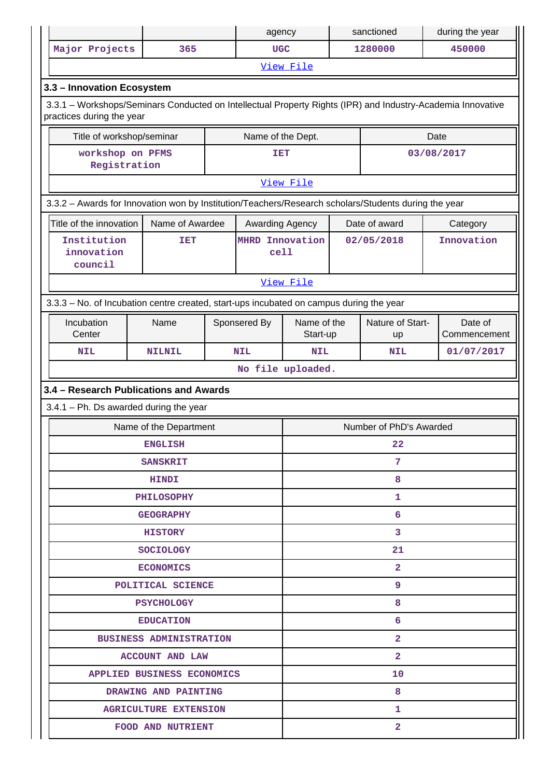|                                                                                                                                          |                              |    | agency                  |                         |  | sanctioned              |      | during the year         |  |
|------------------------------------------------------------------------------------------------------------------------------------------|------------------------------|----|-------------------------|-------------------------|--|-------------------------|------|-------------------------|--|
| Major Projects                                                                                                                           | 365                          |    | <b>UGC</b>              |                         |  | 1280000                 |      | 450000                  |  |
|                                                                                                                                          |                              |    |                         | View File               |  |                         |      |                         |  |
| 3.3 - Innovation Ecosystem                                                                                                               |                              |    |                         |                         |  |                         |      |                         |  |
| 3.3.1 - Workshops/Seminars Conducted on Intellectual Property Rights (IPR) and Industry-Academia Innovative<br>practices during the year |                              |    |                         |                         |  |                         |      |                         |  |
| Title of workshop/seminar                                                                                                                |                              |    | Name of the Dept.       |                         |  |                         | Date |                         |  |
| workshop on PFMS<br>Registration                                                                                                         |                              |    | IET                     |                         |  |                         |      | 03/08/2017              |  |
|                                                                                                                                          |                              |    |                         | View File               |  |                         |      |                         |  |
| 3.3.2 - Awards for Innovation won by Institution/Teachers/Research scholars/Students during the year                                     |                              |    |                         |                         |  |                         |      |                         |  |
| Title of the innovation                                                                                                                  | Name of Awardee              |    | Awarding Agency         |                         |  | Date of award           |      | Category                |  |
| Institution<br>innovation<br>council                                                                                                     | <b>TET</b>                   |    | MHRD Innovation<br>cell |                         |  | 02/05/2018              |      | Innovation              |  |
|                                                                                                                                          |                              |    |                         | View File               |  |                         |      |                         |  |
| 3.3.3 - No. of Incubation centre created, start-ups incubated on campus during the year                                                  |                              |    |                         |                         |  |                         |      |                         |  |
| Incubation<br>Center                                                                                                                     | Name                         |    | Sponsered By            | Name of the<br>Start-up |  | Nature of Start-<br>up  |      | Date of<br>Commencement |  |
| <b>NIL</b>                                                                                                                               | <b>NILNIL</b>                |    | <b>NIL</b>              | <b>NIL</b>              |  | <b>NIL</b>              |      | 01/07/2017              |  |
|                                                                                                                                          |                              |    |                         | No file uploaded.       |  |                         |      |                         |  |
| 3.4 - Research Publications and Awards                                                                                                   |                              |    |                         |                         |  |                         |      |                         |  |
| $3.4.1$ – Ph. Ds awarded during the year                                                                                                 |                              |    |                         |                         |  |                         |      |                         |  |
|                                                                                                                                          | Name of the Department       |    |                         |                         |  | Number of PhD's Awarded |      |                         |  |
|                                                                                                                                          | <b>ENGLISH</b>               |    |                         | 22                      |  |                         |      |                         |  |
|                                                                                                                                          | <b>SANSKRIT</b>              |    |                         | 7                       |  |                         |      |                         |  |
|                                                                                                                                          | <b>HINDI</b>                 |    |                         | 8                       |  |                         |      |                         |  |
|                                                                                                                                          | <b>PHILOSOPHY</b>            |    |                         | 1.                      |  |                         |      |                         |  |
|                                                                                                                                          | <b>GEOGRAPHY</b>             |    |                         | 6                       |  |                         |      |                         |  |
|                                                                                                                                          | <b>HISTORY</b>               |    |                         |                         |  | 3                       |      |                         |  |
|                                                                                                                                          | <b>SOCIOLOGY</b>             |    |                         | 21                      |  |                         |      |                         |  |
|                                                                                                                                          | <b>ECONOMICS</b>             |    |                         |                         |  | $\overline{2}$          |      |                         |  |
|                                                                                                                                          | POLITICAL SCIENCE            |    |                         |                         |  | 9.                      |      |                         |  |
|                                                                                                                                          | <b>PSYCHOLOGY</b>            |    |                         |                         |  | 8                       |      |                         |  |
|                                                                                                                                          | <b>EDUCATION</b>             |    | 6                       |                         |  |                         |      |                         |  |
| <b>BUSINESS ADMINISTRATION</b>                                                                                                           |                              |    | $\mathbf{2}$            |                         |  |                         |      |                         |  |
|                                                                                                                                          | <b>ACCOUNT AND LAW</b>       |    |                         |                         |  | $\mathbf{2}$            |      |                         |  |
|                                                                                                                                          | APPLIED BUSINESS ECONOMICS   | 10 |                         |                         |  |                         |      |                         |  |
|                                                                                                                                          | DRAWING AND PAINTING         |    |                         | 8                       |  |                         |      |                         |  |
|                                                                                                                                          | <b>AGRICULTURE EXTENSION</b> |    |                         |                         |  | 1.                      |      |                         |  |
|                                                                                                                                          | <b>FOOD AND NUTRIENT</b>     |    |                         |                         |  | $\overline{2}$          |      |                         |  |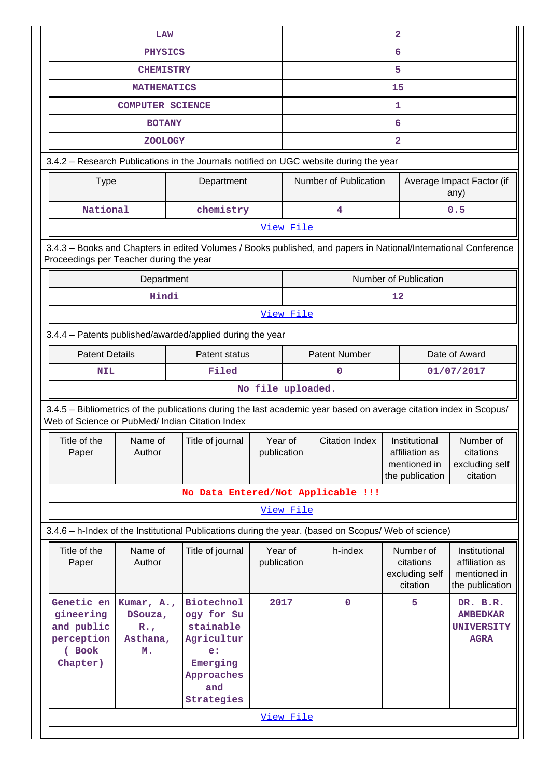| LAW                                                                                                                                                                   |                                                                                                                                                            |                        | $\overline{\mathbf{2}}$ |                       |                                                                    |                                                                    |  |  |  |  |
|-----------------------------------------------------------------------------------------------------------------------------------------------------------------------|------------------------------------------------------------------------------------------------------------------------------------------------------------|------------------------|-------------------------|-----------------------|--------------------------------------------------------------------|--------------------------------------------------------------------|--|--|--|--|
| <b>PHYSICS</b>                                                                                                                                                        |                                                                                                                                                            |                        |                         |                       | 6                                                                  |                                                                    |  |  |  |  |
| <b>CHEMISTRY</b>                                                                                                                                                      |                                                                                                                                                            |                        |                         |                       | 5                                                                  |                                                                    |  |  |  |  |
| <b>MATHEMATICS</b>                                                                                                                                                    |                                                                                                                                                            |                        | 15                      |                       |                                                                    |                                                                    |  |  |  |  |
| <b>COMPUTER SCIENCE</b>                                                                                                                                               |                                                                                                                                                            |                        |                         |                       | 1                                                                  |                                                                    |  |  |  |  |
| <b>BOTANY</b>                                                                                                                                                         |                                                                                                                                                            |                        |                         |                       | 6                                                                  |                                                                    |  |  |  |  |
| <b>ZOOLOGY</b>                                                                                                                                                        |                                                                                                                                                            |                        |                         |                       | $\overline{\mathbf{2}}$                                            |                                                                    |  |  |  |  |
| 3.4.2 - Research Publications in the Journals notified on UGC website during the year                                                                                 |                                                                                                                                                            |                        |                         |                       |                                                                    |                                                                    |  |  |  |  |
| <b>Type</b>                                                                                                                                                           | Department                                                                                                                                                 |                        |                         |                       | Number of Publication                                              | Average Impact Factor (if<br>any)                                  |  |  |  |  |
| National                                                                                                                                                              | chemistry                                                                                                                                                  |                        |                         | 4                     |                                                                    | 0.5                                                                |  |  |  |  |
|                                                                                                                                                                       |                                                                                                                                                            |                        | View File               |                       |                                                                    |                                                                    |  |  |  |  |
|                                                                                                                                                                       | 3.4.3 - Books and Chapters in edited Volumes / Books published, and papers in National/International Conference<br>Proceedings per Teacher during the year |                        |                         |                       |                                                                    |                                                                    |  |  |  |  |
| Department                                                                                                                                                            |                                                                                                                                                            |                        |                         |                       | Number of Publication                                              |                                                                    |  |  |  |  |
| Hindi                                                                                                                                                                 |                                                                                                                                                            |                        |                         |                       | 12                                                                 |                                                                    |  |  |  |  |
| View File                                                                                                                                                             |                                                                                                                                                            |                        |                         |                       |                                                                    |                                                                    |  |  |  |  |
| 3.4.4 - Patents published/awarded/applied during the year                                                                                                             |                                                                                                                                                            |                        |                         |                       |                                                                    |                                                                    |  |  |  |  |
| <b>Patent Details</b>                                                                                                                                                 | Patent status                                                                                                                                              |                        | <b>Patent Number</b>    |                       | Date of Award                                                      |                                                                    |  |  |  |  |
| <b>NIL</b>                                                                                                                                                            | Filed                                                                                                                                                      |                        |                         | 0                     |                                                                    | 01/07/2017                                                         |  |  |  |  |
| No file uploaded.                                                                                                                                                     |                                                                                                                                                            |                        |                         |                       |                                                                    |                                                                    |  |  |  |  |
| 3.4.5 - Bibliometrics of the publications during the last academic year based on average citation index in Scopus/<br>Web of Science or PubMed/ Indian Citation Index |                                                                                                                                                            |                        |                         |                       |                                                                    |                                                                    |  |  |  |  |
| Title of the<br>Name of<br>Author<br>Paper                                                                                                                            | Title of journal                                                                                                                                           | Year of<br>publication |                         | <b>Citation Index</b> | Institutional<br>affiliation as<br>mentioned in<br>the publication | Number of<br>citations<br>excluding self<br>citation               |  |  |  |  |
|                                                                                                                                                                       | No Data Entered/Not Applicable !!!                                                                                                                         |                        |                         |                       |                                                                    |                                                                    |  |  |  |  |
|                                                                                                                                                                       |                                                                                                                                                            |                        | View File               |                       |                                                                    |                                                                    |  |  |  |  |
| 3.4.6 - h-Index of the Institutional Publications during the year. (based on Scopus/ Web of science)                                                                  |                                                                                                                                                            |                        |                         |                       |                                                                    |                                                                    |  |  |  |  |
| Title of the<br>Name of<br>Author<br>Paper                                                                                                                            | Title of journal                                                                                                                                           | Year of<br>publication |                         | h-index               | Number of<br>citations<br>excluding self<br>citation               | Institutional<br>affiliation as<br>mentioned in<br>the publication |  |  |  |  |
| Genetic en<br>Kumar, A.,<br>gineering<br>DSouza,<br>and public<br>$R_{\bullet}$ ,<br>perception<br>Asthana,<br>(Book<br>м.<br>Chapter)                                | <b>Biotechnol</b><br>ogy for Su<br>stainable<br>Agricultur<br>e:<br>Emerging<br>Approaches<br>and<br>Strategies                                            | 2017                   |                         | $\mathbf 0$           | 5                                                                  | DR. B.R.<br><b>AMBEDKAR</b><br><b>UNIVERSITY</b><br><b>AGRA</b>    |  |  |  |  |
|                                                                                                                                                                       |                                                                                                                                                            |                        | View File               |                       |                                                                    |                                                                    |  |  |  |  |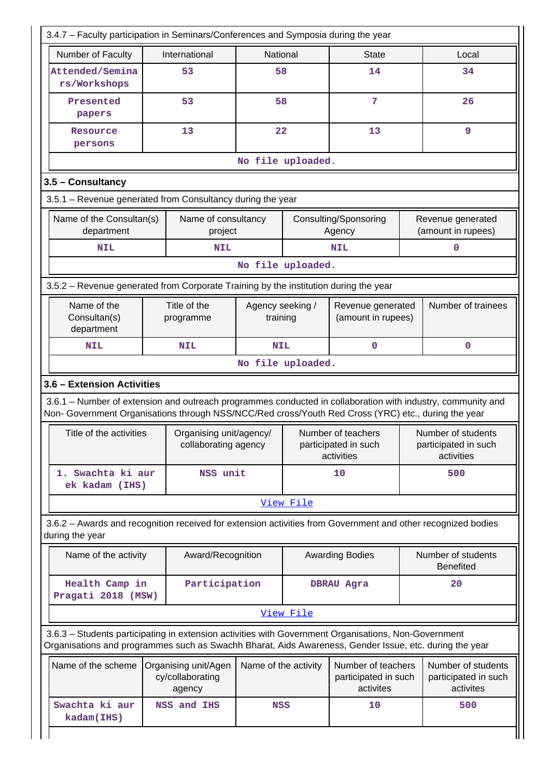| 3.4.7 - Faculty participation in Seminars/Conferences and Symposia during the year                                                                                                                                 |                                                                          |                                |                                                 |                      |                                                          |     |                                                          |  |  |  |
|--------------------------------------------------------------------------------------------------------------------------------------------------------------------------------------------------------------------|--------------------------------------------------------------------------|--------------------------------|-------------------------------------------------|----------------------|----------------------------------------------------------|-----|----------------------------------------------------------|--|--|--|
| Number of Faculty                                                                                                                                                                                                  |                                                                          | International                  | National                                        |                      | <b>State</b>                                             |     | Local                                                    |  |  |  |
| Attended/Semina<br>rs/Workshops                                                                                                                                                                                    |                                                                          | 53                             | 58                                              |                      | 14                                                       |     | 34                                                       |  |  |  |
| Presented<br>papers                                                                                                                                                                                                |                                                                          | 53                             | 58                                              |                      | 7                                                        |     | 26                                                       |  |  |  |
| Resource<br>persons                                                                                                                                                                                                |                                                                          | 13                             | 22                                              |                      | 13                                                       |     | 9                                                        |  |  |  |
|                                                                                                                                                                                                                    |                                                                          |                                |                                                 | No file uploaded.    |                                                          |     |                                                          |  |  |  |
| 3.5 - Consultancy                                                                                                                                                                                                  |                                                                          |                                |                                                 |                      |                                                          |     |                                                          |  |  |  |
| 3.5.1 - Revenue generated from Consultancy during the year                                                                                                                                                         |                                                                          |                                |                                                 |                      |                                                          |     |                                                          |  |  |  |
| Name of the Consultan(s)<br>department                                                                                                                                                                             |                                                                          | Name of consultancy<br>project |                                                 |                      | Consulting/Sponsoring<br>Agency                          |     | Revenue generated<br>(amount in rupees)                  |  |  |  |
| <b>NIL</b>                                                                                                                                                                                                         |                                                                          | <b>NIL</b>                     |                                                 |                      | <b>NIL</b>                                               |     | 0                                                        |  |  |  |
|                                                                                                                                                                                                                    |                                                                          |                                |                                                 | No file uploaded.    |                                                          |     |                                                          |  |  |  |
| 3.5.2 – Revenue generated from Corporate Training by the institution during the year                                                                                                                               |                                                                          |                                |                                                 |                      |                                                          |     |                                                          |  |  |  |
| Name of the<br>Consultan(s)<br>department                                                                                                                                                                          |                                                                          | Title of the<br>programme      | Agency seeking /<br>training                    |                      | Revenue generated<br>(amount in rupees)                  |     | Number of trainees                                       |  |  |  |
| <b>NIL</b>                                                                                                                                                                                                         |                                                                          | <b>NIL</b>                     | <b>NIL</b>                                      |                      | $\mathbf 0$                                              |     | $\mathbf 0$                                              |  |  |  |
| No file uploaded.                                                                                                                                                                                                  |                                                                          |                                |                                                 |                      |                                                          |     |                                                          |  |  |  |
| 3.6 - Extension Activities                                                                                                                                                                                         |                                                                          |                                |                                                 |                      |                                                          |     |                                                          |  |  |  |
| 3.6.1 – Number of extension and outreach programmes conducted in collaboration with industry, community and<br>Non- Government Organisations through NSS/NCC/Red cross/Youth Red Cross (YRC) etc., during the year |                                                                          |                                |                                                 |                      |                                                          |     |                                                          |  |  |  |
| Title of the activities                                                                                                                                                                                            |                                                                          |                                | Organising unit/agency/<br>collaborating agency |                      | Number of teachers<br>participated in such<br>activities |     | Number of students<br>participated in such<br>activities |  |  |  |
| 1. Swachta ki aur<br>ek kadam (IHS)                                                                                                                                                                                |                                                                          | NSS unit                       |                                                 | 10                   |                                                          | 500 |                                                          |  |  |  |
|                                                                                                                                                                                                                    |                                                                          |                                |                                                 | View File            |                                                          |     |                                                          |  |  |  |
| 3.6.2 - Awards and recognition received for extension activities from Government and other recognized bodies<br>during the year                                                                                    |                                                                          |                                |                                                 |                      |                                                          |     |                                                          |  |  |  |
| Name of the activity                                                                                                                                                                                               |                                                                          | Award/Recognition              |                                                 |                      | <b>Awarding Bodies</b>                                   |     | Number of students<br><b>Benefited</b>                   |  |  |  |
| Health Camp in<br>Pragati 2018 (MSW)                                                                                                                                                                               |                                                                          | Participation                  |                                                 |                      | <b>DBRAU Agra</b>                                        |     | 20                                                       |  |  |  |
|                                                                                                                                                                                                                    |                                                                          |                                |                                                 | View File            |                                                          |     |                                                          |  |  |  |
| 3.6.3 - Students participating in extension activities with Government Organisations, Non-Government<br>Organisations and programmes such as Swachh Bharat, Aids Awareness, Gender Issue, etc. during the year     |                                                                          |                                |                                                 |                      |                                                          |     |                                                          |  |  |  |
|                                                                                                                                                                                                                    | Name of the scheme<br>Organising unit/Agen<br>cy/collaborating<br>agency |                                |                                                 | Name of the activity | Number of teachers<br>participated in such<br>activites  |     | Number of students<br>participated in such<br>activites  |  |  |  |
|                                                                                                                                                                                                                    | Swachta ki aur<br>NSS and IHS<br>kadam(IHS)                              |                                |                                                 |                      | 10                                                       |     |                                                          |  |  |  |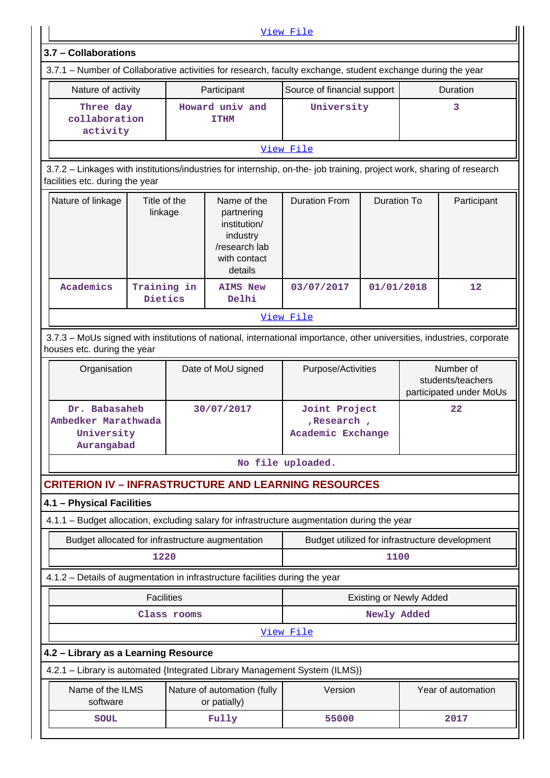|                                                                                                                                                          |                               |                                                                                                   | View File                                         |                                |  |                                                           |  |  |  |  |
|----------------------------------------------------------------------------------------------------------------------------------------------------------|-------------------------------|---------------------------------------------------------------------------------------------------|---------------------------------------------------|--------------------------------|--|-----------------------------------------------------------|--|--|--|--|
| 3.7 - Collaborations                                                                                                                                     |                               |                                                                                                   |                                                   |                                |  |                                                           |  |  |  |  |
| 3.7.1 – Number of Collaborative activities for research, faculty exchange, student exchange during the year                                              |                               |                                                                                                   |                                                   |                                |  |                                                           |  |  |  |  |
| Nature of activity                                                                                                                                       |                               | Participant                                                                                       | Source of financial support                       |                                |  | Duration                                                  |  |  |  |  |
| Three day<br>collaboration<br>activity                                                                                                                   |                               | Howard univ and<br><b>TTHM</b>                                                                    | University                                        |                                |  | 3                                                         |  |  |  |  |
|                                                                                                                                                          |                               |                                                                                                   | View File                                         |                                |  |                                                           |  |  |  |  |
| 3.7.2 - Linkages with institutions/industries for internship, on-the- job training, project work, sharing of research<br>facilities etc. during the year |                               |                                                                                                   |                                                   |                                |  |                                                           |  |  |  |  |
| Nature of linkage                                                                                                                                        | Title of the<br>linkage       | Name of the<br>partnering<br>institution/<br>industry<br>/research lab<br>with contact<br>details | <b>Duration From</b>                              | <b>Duration To</b>             |  | Participant                                               |  |  |  |  |
| Academics                                                                                                                                                | Training in<br><b>Dietics</b> | <b>AIMS New</b><br>Delhi                                                                          | 03/07/2017                                        | 01/01/2018                     |  | 12                                                        |  |  |  |  |
| View File                                                                                                                                                |                               |                                                                                                   |                                                   |                                |  |                                                           |  |  |  |  |
| 3.7.3 - MoUs signed with institutions of national, international importance, other universities, industries, corporate<br>houses etc. during the year    |                               |                                                                                                   |                                                   |                                |  |                                                           |  |  |  |  |
| Organisation<br>Date of MoU signed                                                                                                                       |                               |                                                                                                   | Purpose/Activities                                |                                |  | Number of<br>students/teachers<br>participated under MoUs |  |  |  |  |
| Dr. Babasaheb<br>Ambedker Marathwada<br>University<br>Aurangabad                                                                                         |                               | 30/07/2017                                                                                        | Joint Project<br>, Research,<br>Academic Exchange |                                |  | 22                                                        |  |  |  |  |
|                                                                                                                                                          |                               |                                                                                                   | No file uploaded.                                 |                                |  |                                                           |  |  |  |  |
| <b>CRITERION IV - INFRASTRUCTURE AND LEARNING RESOURCES</b>                                                                                              |                               |                                                                                                   |                                                   |                                |  |                                                           |  |  |  |  |
| 4.1 - Physical Facilities                                                                                                                                |                               |                                                                                                   |                                                   |                                |  |                                                           |  |  |  |  |
| 4.1.1 - Budget allocation, excluding salary for infrastructure augmentation during the year                                                              |                               |                                                                                                   |                                                   |                                |  |                                                           |  |  |  |  |
| Budget allocated for infrastructure augmentation                                                                                                         |                               |                                                                                                   | Budget utilized for infrastructure development    |                                |  |                                                           |  |  |  |  |
|                                                                                                                                                          | 1220                          |                                                                                                   |                                                   | 1100                           |  |                                                           |  |  |  |  |
| 4.1.2 - Details of augmentation in infrastructure facilities during the year                                                                             |                               |                                                                                                   |                                                   |                                |  |                                                           |  |  |  |  |
|                                                                                                                                                          | <b>Facilities</b>             |                                                                                                   |                                                   | <b>Existing or Newly Added</b> |  |                                                           |  |  |  |  |
|                                                                                                                                                          | Class rooms                   |                                                                                                   | Newly Added                                       |                                |  |                                                           |  |  |  |  |
|                                                                                                                                                          |                               |                                                                                                   | View File                                         |                                |  |                                                           |  |  |  |  |
| 4.2 - Library as a Learning Resource                                                                                                                     |                               |                                                                                                   |                                                   |                                |  |                                                           |  |  |  |  |
| 4.2.1 - Library is automated {Integrated Library Management System (ILMS)}                                                                               |                               |                                                                                                   |                                                   |                                |  |                                                           |  |  |  |  |
| Name of the ILMS<br>software                                                                                                                             |                               | Nature of automation (fully<br>or patially)                                                       | Version                                           |                                |  | Year of automation                                        |  |  |  |  |
| <b>SOUL</b>                                                                                                                                              |                               | Fully                                                                                             | 55000                                             |                                |  | 2017                                                      |  |  |  |  |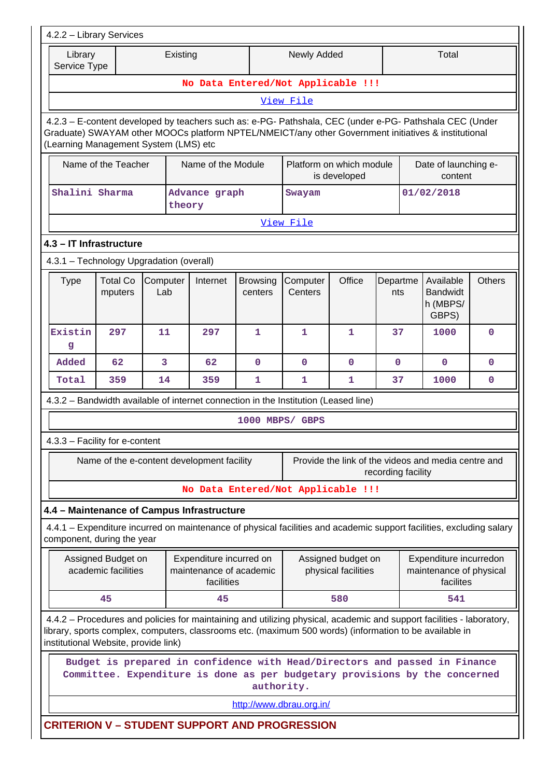| 4.2.2 - Library Services                                                                                                                                                                                                                                |                                           |                 |                                                                                                                                                                                                                                  |                            |                          |                                           |                    |  |                                                                |               |
|---------------------------------------------------------------------------------------------------------------------------------------------------------------------------------------------------------------------------------------------------------|-------------------------------------------|-----------------|----------------------------------------------------------------------------------------------------------------------------------------------------------------------------------------------------------------------------------|----------------------------|--------------------------|-------------------------------------------|--------------------|--|----------------------------------------------------------------|---------------|
| Library<br>Service Type                                                                                                                                                                                                                                 |                                           |                 | Existing                                                                                                                                                                                                                         |                            | <b>Newly Added</b>       |                                           |                    |  | Total                                                          |               |
|                                                                                                                                                                                                                                                         |                                           |                 | No Data Entered/Not Applicable !!!                                                                                                                                                                                               |                            |                          |                                           |                    |  |                                                                |               |
| View File                                                                                                                                                                                                                                               |                                           |                 |                                                                                                                                                                                                                                  |                            |                          |                                           |                    |  |                                                                |               |
| 4.2.3 - E-content developed by teachers such as: e-PG- Pathshala, CEC (under e-PG- Pathshala CEC (Under<br>Graduate) SWAYAM other MOOCs platform NPTEL/NMEICT/any other Government initiatives & institutional<br>(Learning Management System (LMS) etc |                                           |                 |                                                                                                                                                                                                                                  |                            |                          |                                           |                    |  |                                                                |               |
|                                                                                                                                                                                                                                                         | Name of the Teacher                       |                 | Name of the Module                                                                                                                                                                                                               |                            |                          | Platform on which module<br>is developed  |                    |  | Date of launching e-<br>content                                |               |
| Shalini Sharma                                                                                                                                                                                                                                          |                                           |                 | Advance graph<br>theory                                                                                                                                                                                                          |                            | Swayam                   |                                           |                    |  | 01/02/2018                                                     |               |
|                                                                                                                                                                                                                                                         |                                           |                 |                                                                                                                                                                                                                                  |                            | View File                |                                           |                    |  |                                                                |               |
| 4.3 - IT Infrastructure                                                                                                                                                                                                                                 |                                           |                 |                                                                                                                                                                                                                                  |                            |                          |                                           |                    |  |                                                                |               |
| 4.3.1 - Technology Upgradation (overall)                                                                                                                                                                                                                |                                           |                 |                                                                                                                                                                                                                                  |                            |                          |                                           |                    |  |                                                                |               |
| <b>Type</b>                                                                                                                                                                                                                                             | <b>Total Co</b><br>mputers                | Computer<br>Lab | Internet                                                                                                                                                                                                                         | <b>Browsing</b><br>centers | Computer<br>Centers      | Office                                    | Departme<br>nts    |  | Available<br><b>Bandwidt</b><br>h (MBPS/<br>GBPS)              | <b>Others</b> |
| Existin<br>g                                                                                                                                                                                                                                            | 297                                       | 11              | 297                                                                                                                                                                                                                              | 1                          | 1                        | 1                                         | 37                 |  | 1000                                                           | $\mathbf 0$   |
| Added                                                                                                                                                                                                                                                   | 62                                        | 3               | 62                                                                                                                                                                                                                               | 0                          | $\mathbf{0}$             | 0                                         | 0                  |  | $\mathbf{0}$                                                   | $\mathbf{0}$  |
| Total                                                                                                                                                                                                                                                   | 359                                       | 14              | 359                                                                                                                                                                                                                              | 1.                         | 1                        | 1                                         | 37                 |  | 1000                                                           | $\mathbf{0}$  |
|                                                                                                                                                                                                                                                         |                                           |                 | 4.3.2 – Bandwidth available of internet connection in the Institution (Leased line)                                                                                                                                              |                            |                          |                                           |                    |  |                                                                |               |
|                                                                                                                                                                                                                                                         |                                           |                 |                                                                                                                                                                                                                                  | 1000 MBPS/ GBPS            |                          |                                           |                    |  |                                                                |               |
| 4.3.3 - Facility for e-content                                                                                                                                                                                                                          |                                           |                 |                                                                                                                                                                                                                                  |                            |                          |                                           |                    |  |                                                                |               |
|                                                                                                                                                                                                                                                         |                                           |                 | Name of the e-content development facility                                                                                                                                                                                       |                            |                          |                                           | recording facility |  | Provide the link of the videos and media centre and            |               |
|                                                                                                                                                                                                                                                         |                                           |                 | No Data Entered/Not Applicable !!!                                                                                                                                                                                               |                            |                          |                                           |                    |  |                                                                |               |
|                                                                                                                                                                                                                                                         |                                           |                 | 4.4 - Maintenance of Campus Infrastructure                                                                                                                                                                                       |                            |                          |                                           |                    |  |                                                                |               |
| component, during the year                                                                                                                                                                                                                              |                                           |                 | 4.4.1 – Expenditure incurred on maintenance of physical facilities and academic support facilities, excluding salary                                                                                                             |                            |                          |                                           |                    |  |                                                                |               |
|                                                                                                                                                                                                                                                         | Assigned Budget on<br>academic facilities |                 | Expenditure incurred on<br>maintenance of academic<br>facilities                                                                                                                                                                 |                            |                          | Assigned budget on<br>physical facilities |                    |  | Expenditure incurredon<br>maintenance of physical<br>facilites |               |
|                                                                                                                                                                                                                                                         | 45                                        |                 | 45                                                                                                                                                                                                                               |                            |                          | 580                                       |                    |  | 541                                                            |               |
| institutional Website, provide link)                                                                                                                                                                                                                    |                                           |                 | 4.4.2 – Procedures and policies for maintaining and utilizing physical, academic and support facilities - laboratory,<br>library, sports complex, computers, classrooms etc. (maximum 500 words) (information to be available in |                            |                          |                                           |                    |  |                                                                |               |
|                                                                                                                                                                                                                                                         |                                           |                 | Budget is prepared in confidence with Head/Directors and passed in Finance<br>Committee. Expenditure is done as per budgetary provisions by the concerned                                                                        | authority.                 |                          |                                           |                    |  |                                                                |               |
|                                                                                                                                                                                                                                                         |                                           |                 |                                                                                                                                                                                                                                  |                            | http://www.dbrau.org.in/ |                                           |                    |  |                                                                |               |
|                                                                                                                                                                                                                                                         |                                           |                 | <b>CRITERION V - STUDENT SUPPORT AND PROGRESSION</b>                                                                                                                                                                             |                            |                          |                                           |                    |  |                                                                |               |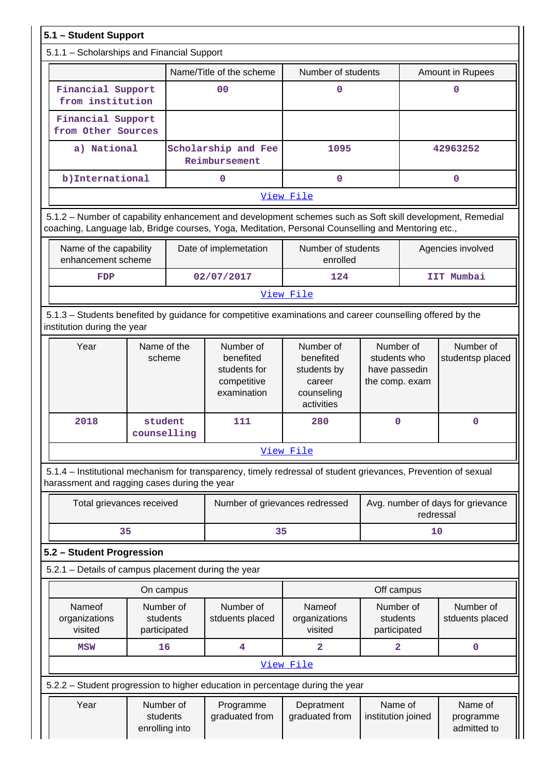|           | 5.1 - Student Support                               |                                         |  |                                                                                                                                                                                                                 |                                                                             |                                                              |             |                                     |
|-----------|-----------------------------------------------------|-----------------------------------------|--|-----------------------------------------------------------------------------------------------------------------------------------------------------------------------------------------------------------------|-----------------------------------------------------------------------------|--------------------------------------------------------------|-------------|-------------------------------------|
|           | 5.1.1 - Scholarships and Financial Support          |                                         |  |                                                                                                                                                                                                                 |                                                                             |                                                              |             |                                     |
|           |                                                     |                                         |  | Name/Title of the scheme                                                                                                                                                                                        | Number of students                                                          |                                                              |             | Amount in Rupees                    |
|           | Financial Support<br>from institution               |                                         |  | 00                                                                                                                                                                                                              | $\mathbf 0$                                                                 |                                                              |             | $\Omega$                            |
|           |                                                     | Financial Support<br>from Other Sources |  |                                                                                                                                                                                                                 |                                                                             |                                                              |             |                                     |
|           | a) National                                         |                                         |  | Scholarship and Fee<br>Reimbursement                                                                                                                                                                            | 1095                                                                        |                                                              |             | 42963252                            |
|           | b) International                                    |                                         |  | $\mathbf 0$                                                                                                                                                                                                     | $\mathbf 0$                                                                 |                                                              |             | $\mathbf 0$                         |
|           |                                                     |                                         |  |                                                                                                                                                                                                                 | View File                                                                   |                                                              |             |                                     |
|           |                                                     |                                         |  | 5.1.2 - Number of capability enhancement and development schemes such as Soft skill development, Remedial<br>coaching, Language lab, Bridge courses, Yoga, Meditation, Personal Counselling and Mentoring etc., |                                                                             |                                                              |             |                                     |
|           | Name of the capability<br>enhancement scheme        |                                         |  | Date of implemetation                                                                                                                                                                                           | Number of students<br>enrolled                                              |                                                              |             | Agencies involved                   |
|           | FDP                                                 |                                         |  | 02/07/2017                                                                                                                                                                                                      | 124                                                                         |                                                              |             | IIT Mumbai                          |
| View File |                                                     |                                         |  |                                                                                                                                                                                                                 |                                                                             |                                                              |             |                                     |
|           | institution during the year                         |                                         |  | 5.1.3 – Students benefited by guidance for competitive examinations and career counselling offered by the                                                                                                       |                                                                             |                                                              |             |                                     |
|           | Year                                                | Name of the<br>scheme                   |  | Number of<br>benefited<br>students for<br>competitive<br>examination                                                                                                                                            | Number of<br>benefited<br>students by<br>career<br>counseling<br>activities | Number of<br>students who<br>have passedin<br>the comp. exam |             | Number of<br>studentsp placed       |
|           | 2018                                                | student<br>counselling                  |  | 111                                                                                                                                                                                                             | 280                                                                         | $\mathbf 0$                                                  | $\mathbf 0$ |                                     |
|           |                                                     |                                         |  |                                                                                                                                                                                                                 | View File                                                                   |                                                              |             |                                     |
|           | harassment and ragging cases during the year        |                                         |  | 5.1.4 – Institutional mechanism for transparency, timely redressal of student grievances, Prevention of sexual                                                                                                  |                                                                             |                                                              |             |                                     |
|           | Total grievances received                           |                                         |  | Number of grievances redressed                                                                                                                                                                                  |                                                                             | Avg. number of days for grievance<br>redressal               |             |                                     |
|           | 35                                                  |                                         |  | 35                                                                                                                                                                                                              |                                                                             |                                                              | 10          |                                     |
|           | 5.2 - Student Progression                           |                                         |  |                                                                                                                                                                                                                 |                                                                             |                                                              |             |                                     |
|           | 5.2.1 - Details of campus placement during the year |                                         |  |                                                                                                                                                                                                                 |                                                                             |                                                              |             |                                     |
|           |                                                     | On campus                               |  |                                                                                                                                                                                                                 |                                                                             | Off campus                                                   |             |                                     |
|           | Nameof<br>organizations<br>visited                  | Number of<br>students<br>participated   |  | Number of<br>stduents placed                                                                                                                                                                                    | Nameof<br>organizations<br>visited                                          | Number of<br>students<br>participated                        |             | Number of<br>stduents placed        |
|           | <b>MSW</b>                                          | 16                                      |  | 4                                                                                                                                                                                                               | $\mathbf{2}$                                                                | $\overline{a}$                                               |             | $\mathbf 0$                         |
|           |                                                     |                                         |  |                                                                                                                                                                                                                 | View File                                                                   |                                                              |             |                                     |
|           |                                                     |                                         |  | 5.2.2 - Student progression to higher education in percentage during the year                                                                                                                                   |                                                                             |                                                              |             |                                     |
|           | Year                                                | Number of<br>students<br>enrolling into |  | Programme<br>graduated from                                                                                                                                                                                     | Depratment<br>graduated from                                                | Name of<br>institution joined                                |             | Name of<br>programme<br>admitted to |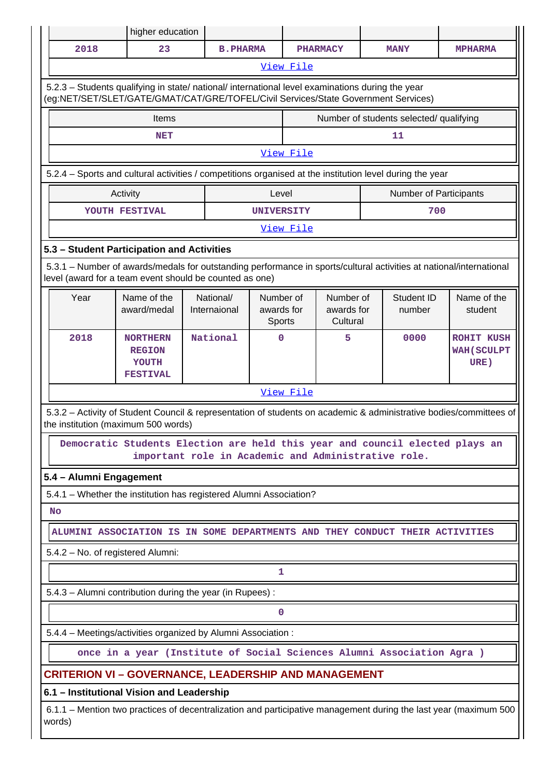|                                                                                                                                                                                | higher education                                                                                                                    |  |                           |                                   |           |                                     |  |                                         |                                                                                                                    |  |
|--------------------------------------------------------------------------------------------------------------------------------------------------------------------------------|-------------------------------------------------------------------------------------------------------------------------------------|--|---------------------------|-----------------------------------|-----------|-------------------------------------|--|-----------------------------------------|--------------------------------------------------------------------------------------------------------------------|--|
| 2018                                                                                                                                                                           | 23                                                                                                                                  |  | <b>B. PHARMA</b>          |                                   |           | <b>PHARMACY</b>                     |  | <b>MANY</b>                             | <b>MPHARMA</b>                                                                                                     |  |
|                                                                                                                                                                                |                                                                                                                                     |  |                           |                                   | View File |                                     |  |                                         |                                                                                                                    |  |
| (eg:NET/SET/SLET/GATE/GMAT/CAT/GRE/TOFEL/Civil Services/State Government Services)                                                                                             | 5.2.3 - Students qualifying in state/ national/ international level examinations during the year                                    |  |                           |                                   |           |                                     |  |                                         |                                                                                                                    |  |
|                                                                                                                                                                                | Items                                                                                                                               |  |                           |                                   |           |                                     |  | Number of students selected/ qualifying |                                                                                                                    |  |
|                                                                                                                                                                                | <b>NET</b>                                                                                                                          |  |                           |                                   |           |                                     |  | 11                                      |                                                                                                                    |  |
|                                                                                                                                                                                | View File                                                                                                                           |  |                           |                                   |           |                                     |  |                                         |                                                                                                                    |  |
|                                                                                                                                                                                | 5.2.4 - Sports and cultural activities / competitions organised at the institution level during the year                            |  |                           |                                   |           |                                     |  |                                         |                                                                                                                    |  |
|                                                                                                                                                                                | Activity                                                                                                                            |  |                           | Level                             |           |                                     |  | Number of Participants                  |                                                                                                                    |  |
|                                                                                                                                                                                | YOUTH FESTIVAL                                                                                                                      |  |                           | <b>UNIVERSITY</b>                 |           |                                     |  | 700                                     |                                                                                                                    |  |
| View File                                                                                                                                                                      |                                                                                                                                     |  |                           |                                   |           |                                     |  |                                         |                                                                                                                    |  |
| 5.3 - Student Participation and Activities                                                                                                                                     |                                                                                                                                     |  |                           |                                   |           |                                     |  |                                         |                                                                                                                    |  |
| 5.3.1 – Number of awards/medals for outstanding performance in sports/cultural activities at national/international<br>level (award for a team event should be counted as one) |                                                                                                                                     |  |                           |                                   |           |                                     |  |                                         |                                                                                                                    |  |
| Year                                                                                                                                                                           | Name of the<br>award/medal                                                                                                          |  | National/<br>Internaional | Number of<br>awards for<br>Sports |           | Number of<br>awards for<br>Cultural |  | Student ID<br>number                    | Name of the<br>student                                                                                             |  |
| 2018                                                                                                                                                                           | <b>NORTHERN</b><br><b>REGION</b><br>YOUTH<br><b>FESTIVAL</b>                                                                        |  | National                  | $\Omega$                          |           | 5                                   |  | 0000                                    | <b>ROHIT KUSH</b><br><b>WAH (SCULPT</b><br>URE)                                                                    |  |
|                                                                                                                                                                                |                                                                                                                                     |  |                           |                                   | View File |                                     |  |                                         |                                                                                                                    |  |
| the institution (maximum 500 words)                                                                                                                                            |                                                                                                                                     |  |                           |                                   |           |                                     |  |                                         | 5.3.2 - Activity of Student Council & representation of students on academic & administrative bodies/committees of |  |
|                                                                                                                                                                                | Democratic Students Election are held this year and council elected plays an<br>important role in Academic and Administrative role. |  |                           |                                   |           |                                     |  |                                         |                                                                                                                    |  |
| 5.4 - Alumni Engagement                                                                                                                                                        |                                                                                                                                     |  |                           |                                   |           |                                     |  |                                         |                                                                                                                    |  |
|                                                                                                                                                                                | 5.4.1 - Whether the institution has registered Alumni Association?                                                                  |  |                           |                                   |           |                                     |  |                                         |                                                                                                                    |  |
| <b>No</b>                                                                                                                                                                      |                                                                                                                                     |  |                           |                                   |           |                                     |  |                                         |                                                                                                                    |  |
|                                                                                                                                                                                | ALUMINI ASSOCIATION IS IN SOME DEPARTMENTS AND THEY CONDUCT THEIR ACTIVITIES                                                        |  |                           |                                   |           |                                     |  |                                         |                                                                                                                    |  |
| 5.4.2 - No. of registered Alumni:                                                                                                                                              |                                                                                                                                     |  |                           |                                   |           |                                     |  |                                         |                                                                                                                    |  |
|                                                                                                                                                                                |                                                                                                                                     |  |                           | 1                                 |           |                                     |  |                                         |                                                                                                                    |  |
|                                                                                                                                                                                | 5.4.3 - Alumni contribution during the year (in Rupees) :                                                                           |  |                           |                                   |           |                                     |  |                                         |                                                                                                                    |  |
|                                                                                                                                                                                |                                                                                                                                     |  |                           | $\mathbf 0$                       |           |                                     |  |                                         |                                                                                                                    |  |
|                                                                                                                                                                                | 5.4.4 - Meetings/activities organized by Alumni Association:                                                                        |  |                           |                                   |           |                                     |  |                                         |                                                                                                                    |  |
|                                                                                                                                                                                | once in a year (Institute of Social Sciences Alumni Association Agra)                                                               |  |                           |                                   |           |                                     |  |                                         |                                                                                                                    |  |
| <b>CRITERION VI - GOVERNANCE, LEADERSHIP AND MANAGEMENT</b>                                                                                                                    |                                                                                                                                     |  |                           |                                   |           |                                     |  |                                         |                                                                                                                    |  |
| 6.1 - Institutional Vision and Leadership                                                                                                                                      |                                                                                                                                     |  |                           |                                   |           |                                     |  |                                         |                                                                                                                    |  |
| words)                                                                                                                                                                         |                                                                                                                                     |  |                           |                                   |           |                                     |  |                                         | 6.1.1 – Mention two practices of decentralization and participative management during the last year (maximum 500   |  |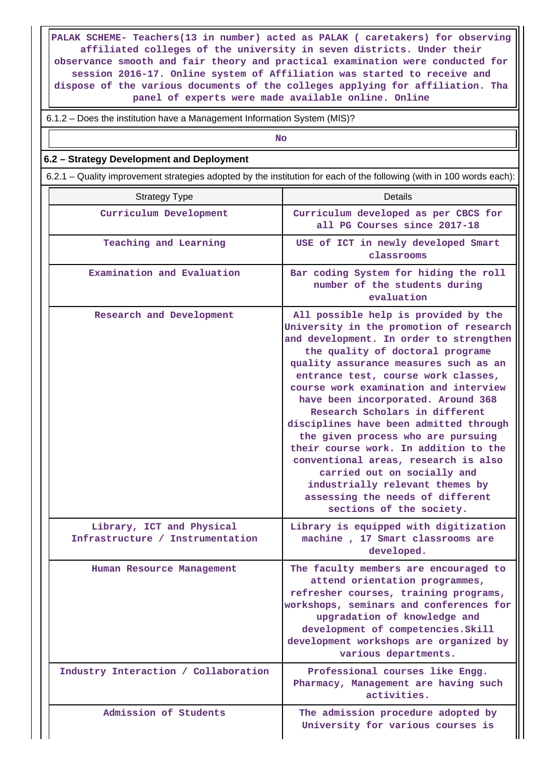**PALAK SCHEME- Teachers(13 in number) acted as PALAK ( caretakers) for observing affiliated colleges of the university in seven districts. Under their observance smooth and fair theory and practical examination were conducted for session 2016-17. Online system of Affiliation was started to receive and dispose of the various documents of the colleges applying for affiliation. Tha panel of experts were made available online. Online**

6.1.2 – Does the institution have a Management Information System (MIS)?

**No. 2. In the case of the case of the case of the case of the case of the case of the case of the case of the case of the case of the case of the case of the case of the case of the case of the case of the case of the cas** 

#### **6.2 – Strategy Development and Deployment**

6.2.1 – Quality improvement strategies adopted by the institution for each of the following (with in 100 words each):

| <b>Strategy Type</b>                                          | Details                                                                                                                                                                                                                                                                                                                                                                                                                                                                                                                                                                                                                                                            |
|---------------------------------------------------------------|--------------------------------------------------------------------------------------------------------------------------------------------------------------------------------------------------------------------------------------------------------------------------------------------------------------------------------------------------------------------------------------------------------------------------------------------------------------------------------------------------------------------------------------------------------------------------------------------------------------------------------------------------------------------|
| Curriculum Development                                        | Curriculum developed as per CBCS for<br>all PG Courses since 2017-18                                                                                                                                                                                                                                                                                                                                                                                                                                                                                                                                                                                               |
| Teaching and Learning                                         | USE of ICT in newly developed Smart<br>classrooms                                                                                                                                                                                                                                                                                                                                                                                                                                                                                                                                                                                                                  |
| Examination and Evaluation                                    | Bar coding System for hiding the roll<br>number of the students during<br>evaluation                                                                                                                                                                                                                                                                                                                                                                                                                                                                                                                                                                               |
| Research and Development                                      | All possible help is provided by the<br>University in the promotion of research<br>and development. In order to strengthen<br>the quality of doctoral programe<br>quality assurance measures such as an<br>entrance test, course work classes,<br>course work examination and interview<br>have been incorporated. Around 368<br>Research Scholars in different<br>disciplines have been admitted through<br>the given process who are pursuing<br>their course work. In addition to the<br>conventional areas, research is also<br>carried out on socially and<br>industrially relevant themes by<br>assessing the needs of different<br>sections of the society. |
| Library, ICT and Physical<br>Infrastructure / Instrumentation | Library is equipped with digitization<br>machine, 17 Smart classrooms are<br>developed.                                                                                                                                                                                                                                                                                                                                                                                                                                                                                                                                                                            |
| Human Resource Management                                     | The faculty members are encouraged to<br>attend orientation programmes,<br>refresher courses, training programs,<br>workshops, seminars and conferences for<br>upgradation of knowledge and<br>development of competencies. Skill<br>development workshops are organized by<br>various departments.                                                                                                                                                                                                                                                                                                                                                                |
| Industry Interaction / Collaboration                          | Professional courses like Engg.<br>Pharmacy, Management are having such<br>activities.                                                                                                                                                                                                                                                                                                                                                                                                                                                                                                                                                                             |
| Admission of Students                                         | The admission procedure adopted by<br>University for various courses is                                                                                                                                                                                                                                                                                                                                                                                                                                                                                                                                                                                            |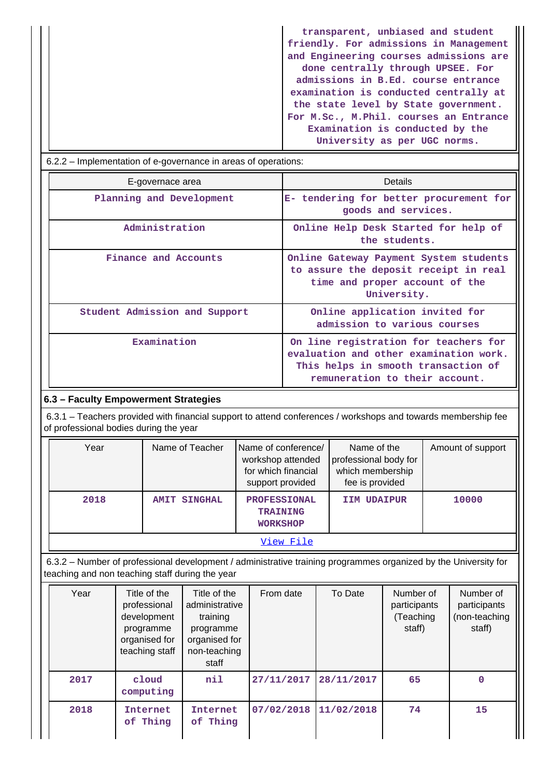**transparent, unbiased and student friendly. For admissions in Management and Engineering courses admissions are done centrally through UPSEE. For admissions in B.Ed. course entrance examination is conducted centrally at the state level by State government. For M.Sc., M.Phil. courses an Entrance Examination is conducted by the University as per UGC norms.**

| 6.2.2 – Implementation of e-governance in areas of operations: |                                                                                                                                                          |  |  |  |  |  |  |  |  |
|----------------------------------------------------------------|----------------------------------------------------------------------------------------------------------------------------------------------------------|--|--|--|--|--|--|--|--|
| E-governace area                                               | Details                                                                                                                                                  |  |  |  |  |  |  |  |  |
| Planning and Development                                       | E- tendering for better procurement for<br>goods and services.                                                                                           |  |  |  |  |  |  |  |  |
| Administration                                                 | Online Help Desk Started for help of<br>the students.                                                                                                    |  |  |  |  |  |  |  |  |
| Finance and Accounts                                           | Online Gateway Payment System students<br>to assure the deposit receipt in real<br>time and proper account of the<br>University.                         |  |  |  |  |  |  |  |  |
| Student Admission and Support                                  | Online application invited for<br>admission to various courses                                                                                           |  |  |  |  |  |  |  |  |
| Examination                                                    | On line registration for teachers for<br>evaluation and other examination work.<br>This helps in smooth transaction of<br>remuneration to their account. |  |  |  |  |  |  |  |  |

### **6.3 – Faculty Empowerment Strategies**

 6.3.1 – Teachers provided with financial support to attend conferences / workshops and towards membership fee of professional bodies during the year

| Year | Name of Teacher     | Name of conference/<br>workshop attended<br>for which financial<br>support provided | Name of the<br>professional body for<br>which membership<br>fee is provided | Amount of support |  |  |  |  |  |  |
|------|---------------------|-------------------------------------------------------------------------------------|-----------------------------------------------------------------------------|-------------------|--|--|--|--|--|--|
| 2018 | <b>AMIT SINGHAL</b> | <b>PROFESSIONAL</b><br><b>TRAINING</b><br><b>WORKSHOP</b>                           | IIM UDAIPUR                                                                 | 10000             |  |  |  |  |  |  |
|      | View File           |                                                                                     |                                                                             |                   |  |  |  |  |  |  |

 6.3.2 – Number of professional development / administrative training programmes organized by the University for teaching and non teaching staff during the year

| Year | Title of the<br>professional<br>development<br>programme<br>organised for<br>teaching staff | Title of the<br>administrative<br>training<br>programme<br>organised for<br>non-teaching<br>staff | From date  | To Date    | Number of<br>participants<br>(Teaching<br>staff) | Number of<br>participants<br>(non-teaching<br>staff) |
|------|---------------------------------------------------------------------------------------------|---------------------------------------------------------------------------------------------------|------------|------------|--------------------------------------------------|------------------------------------------------------|
| 2017 | cloud<br>computing                                                                          | nil                                                                                               | 27/11/2017 | 28/11/2017 | 65                                               | $\Omega$                                             |
| 2018 | Internet<br>of Thing                                                                        | Internet<br>of Thing                                                                              | 07/02/2018 | 11/02/2018 | 74                                               | 15                                                   |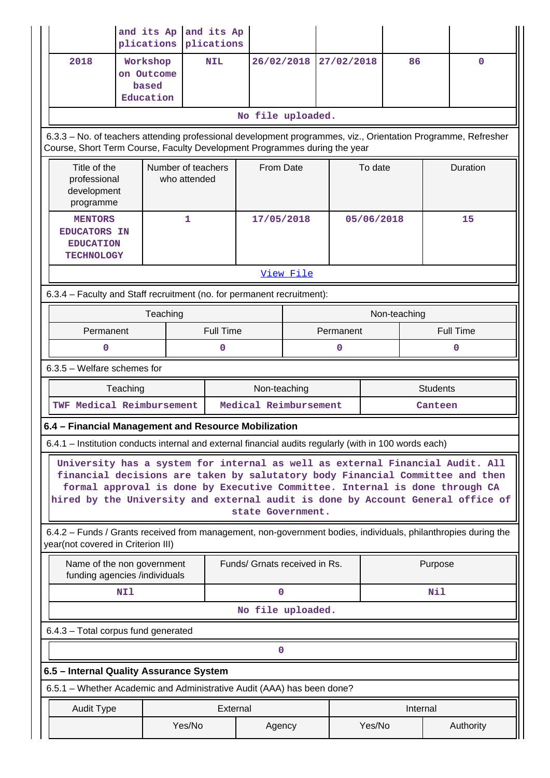|                                                                                                                                                                                                                                                                                                                                                       |                                                                                | and its Ap<br>plications                     | and its Ap<br>plications           |                               |            |           |            |              |           |                  |  |
|-------------------------------------------------------------------------------------------------------------------------------------------------------------------------------------------------------------------------------------------------------------------------------------------------------------------------------------------------------|--------------------------------------------------------------------------------|----------------------------------------------|------------------------------------|-------------------------------|------------|-----------|------------|--------------|-----------|------------------|--|
| 2018                                                                                                                                                                                                                                                                                                                                                  |                                                                                | Workshop<br>on Outcome<br>based<br>Education | <b>NIL</b>                         |                               | 26/02/2018 |           | 27/02/2018 | 86           |           | $\mathbf 0$      |  |
| No file uploaded.                                                                                                                                                                                                                                                                                                                                     |                                                                                |                                              |                                    |                               |            |           |            |              |           |                  |  |
| 6.3.3 - No. of teachers attending professional development programmes, viz., Orientation Programme, Refresher<br>Course, Short Term Course, Faculty Development Programmes during the year                                                                                                                                                            |                                                                                |                                              |                                    |                               |            |           |            |              |           |                  |  |
|                                                                                                                                                                                                                                                                                                                                                       | Title of the<br>professional<br>development<br>programme                       |                                              | Number of teachers<br>who attended |                               | From Date  |           | To date    |              | Duration  |                  |  |
|                                                                                                                                                                                                                                                                                                                                                       | <b>MENTORS</b><br><b>EDUCATORS IN</b><br><b>EDUCATION</b><br><b>TECHNOLOGY</b> |                                              | 1                                  |                               | 17/05/2018 |           | 05/06/2018 |              | 15        |                  |  |
|                                                                                                                                                                                                                                                                                                                                                       |                                                                                |                                              |                                    |                               | View File  |           |            |              |           |                  |  |
| 6.3.4 - Faculty and Staff recruitment (no. for permanent recruitment):                                                                                                                                                                                                                                                                                |                                                                                |                                              |                                    |                               |            |           |            |              |           |                  |  |
|                                                                                                                                                                                                                                                                                                                                                       |                                                                                | Teaching                                     |                                    |                               |            |           |            | Non-teaching |           |                  |  |
| Permanent                                                                                                                                                                                                                                                                                                                                             |                                                                                |                                              |                                    | <b>Full Time</b>              |            | Permanent |            |              |           | <b>Full Time</b> |  |
| 0                                                                                                                                                                                                                                                                                                                                                     |                                                                                |                                              |                                    | 0<br>0                        |            |           |            | 0            |           |                  |  |
|                                                                                                                                                                                                                                                                                                                                                       | 6.3.5 - Welfare schemes for                                                    |                                              |                                    |                               |            |           |            |              |           |                  |  |
|                                                                                                                                                                                                                                                                                                                                                       | Teaching<br>Non-teaching<br><b>Students</b>                                    |                                              |                                    |                               |            |           |            |              |           |                  |  |
| TWF Medical Reimbursement                                                                                                                                                                                                                                                                                                                             |                                                                                |                                              |                                    | Medical Reimbursement         |            |           |            | Canteen      |           |                  |  |
| 6.4 - Financial Management and Resource Mobilization                                                                                                                                                                                                                                                                                                  |                                                                                |                                              |                                    |                               |            |           |            |              |           |                  |  |
| 6.4.1 - Institution conducts internal and external financial audits regularly (with in 100 words each)                                                                                                                                                                                                                                                |                                                                                |                                              |                                    |                               |            |           |            |              |           |                  |  |
| University has a system for internal as well as external Financial Audit. All<br>financial decisions are taken by salutatory body Financial Committee and then<br>formal approval is done by Executive Committee. Internal is done through CA<br>hired by the University and external audit is done by Account General office of<br>state Government. |                                                                                |                                              |                                    |                               |            |           |            |              |           |                  |  |
| 6.4.2 - Funds / Grants received from management, non-government bodies, individuals, philanthropies during the<br>year(not covered in Criterion III)                                                                                                                                                                                                  |                                                                                |                                              |                                    |                               |            |           |            |              |           |                  |  |
|                                                                                                                                                                                                                                                                                                                                                       | Name of the non government<br>funding agencies /individuals                    |                                              |                                    | Funds/ Grnats received in Rs. |            |           |            |              | Purpose   |                  |  |
| NI1                                                                                                                                                                                                                                                                                                                                                   |                                                                                |                                              |                                    | 0                             |            |           |            | Nil          |           |                  |  |
| No file uploaded.                                                                                                                                                                                                                                                                                                                                     |                                                                                |                                              |                                    |                               |            |           |            |              |           |                  |  |
| 6.4.3 - Total corpus fund generated                                                                                                                                                                                                                                                                                                                   |                                                                                |                                              |                                    |                               |            |           |            |              |           |                  |  |
| 0                                                                                                                                                                                                                                                                                                                                                     |                                                                                |                                              |                                    |                               |            |           |            |              |           |                  |  |
| 6.5 - Internal Quality Assurance System                                                                                                                                                                                                                                                                                                               |                                                                                |                                              |                                    |                               |            |           |            |              |           |                  |  |
| 6.5.1 - Whether Academic and Administrative Audit (AAA) has been done?                                                                                                                                                                                                                                                                                |                                                                                |                                              |                                    |                               |            |           |            |              |           |                  |  |
| <b>Audit Type</b>                                                                                                                                                                                                                                                                                                                                     |                                                                                |                                              | External                           |                               |            |           |            |              | Internal  |                  |  |
|                                                                                                                                                                                                                                                                                                                                                       | Yes/No                                                                         |                                              |                                    |                               | Agency     | Yes/No    |            |              | Authority |                  |  |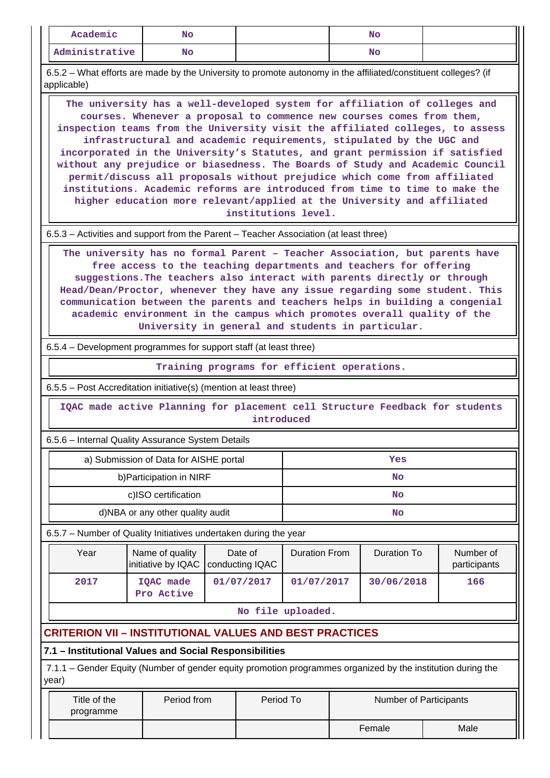| Academic                                                                                                                                                                                                                                                                                                                                                                                                                                                                                                                      | No.                                                                                                                                                                                                                                                                                                                                                                                                                                                                                                                                                                                                                                                                                                                  |  |                            |                      |  | <b>No</b>              |  |                           |  |  |
|-------------------------------------------------------------------------------------------------------------------------------------------------------------------------------------------------------------------------------------------------------------------------------------------------------------------------------------------------------------------------------------------------------------------------------------------------------------------------------------------------------------------------------|----------------------------------------------------------------------------------------------------------------------------------------------------------------------------------------------------------------------------------------------------------------------------------------------------------------------------------------------------------------------------------------------------------------------------------------------------------------------------------------------------------------------------------------------------------------------------------------------------------------------------------------------------------------------------------------------------------------------|--|----------------------------|----------------------|--|------------------------|--|---------------------------|--|--|
| Administrative                                                                                                                                                                                                                                                                                                                                                                                                                                                                                                                | <b>No</b>                                                                                                                                                                                                                                                                                                                                                                                                                                                                                                                                                                                                                                                                                                            |  |                            |                      |  | <b>No</b>              |  |                           |  |  |
| 6.5.2 – What efforts are made by the University to promote autonomy in the affiliated/constituent colleges? (if<br>applicable)                                                                                                                                                                                                                                                                                                                                                                                                |                                                                                                                                                                                                                                                                                                                                                                                                                                                                                                                                                                                                                                                                                                                      |  |                            |                      |  |                        |  |                           |  |  |
|                                                                                                                                                                                                                                                                                                                                                                                                                                                                                                                               | The university has a well-developed system for affiliation of colleges and<br>courses. Whenever a proposal to commence new courses comes from them,<br>inspection teams from the University visit the affiliated colleges, to assess<br>infrastructural and academic requirements, stipulated by the UGC and<br>incorporated in the University's Statutes, and grant permission if satisfied<br>without any prejudice or biasedness. The Boards of Study and Academic Council<br>permit/discuss all proposals without prejudice which come from affiliated<br>institutions. Academic reforms are introduced from time to time to make the<br>higher education more relevant/applied at the University and affiliated |  | institutions level.        |                      |  |                        |  |                           |  |  |
| 6.5.3 – Activities and support from the Parent – Teacher Association (at least three)                                                                                                                                                                                                                                                                                                                                                                                                                                         |                                                                                                                                                                                                                                                                                                                                                                                                                                                                                                                                                                                                                                                                                                                      |  |                            |                      |  |                        |  |                           |  |  |
| The university has no formal Parent - Teacher Association, but parents have<br>free access to the teaching departments and teachers for offering<br>suggestions. The teachers also interact with parents directly or through<br>Head/Dean/Proctor, whenever they have any issue regarding some student. This<br>communication between the parents and teachers helps in building a congenial<br>academic environment in the campus which promotes overall quality of the<br>University in general and students in particular. |                                                                                                                                                                                                                                                                                                                                                                                                                                                                                                                                                                                                                                                                                                                      |  |                            |                      |  |                        |  |                           |  |  |
| 6.5.4 – Development programmes for support staff (at least three)                                                                                                                                                                                                                                                                                                                                                                                                                                                             |                                                                                                                                                                                                                                                                                                                                                                                                                                                                                                                                                                                                                                                                                                                      |  |                            |                      |  |                        |  |                           |  |  |
| Training programs for efficient operations.                                                                                                                                                                                                                                                                                                                                                                                                                                                                                   |                                                                                                                                                                                                                                                                                                                                                                                                                                                                                                                                                                                                                                                                                                                      |  |                            |                      |  |                        |  |                           |  |  |
|                                                                                                                                                                                                                                                                                                                                                                                                                                                                                                                               |                                                                                                                                                                                                                                                                                                                                                                                                                                                                                                                                                                                                                                                                                                                      |  |                            |                      |  |                        |  |                           |  |  |
|                                                                                                                                                                                                                                                                                                                                                                                                                                                                                                                               |                                                                                                                                                                                                                                                                                                                                                                                                                                                                                                                                                                                                                                                                                                                      |  |                            |                      |  |                        |  |                           |  |  |
|                                                                                                                                                                                                                                                                                                                                                                                                                                                                                                                               | IQAC made active Planning for placement cell Structure Feedback for students                                                                                                                                                                                                                                                                                                                                                                                                                                                                                                                                                                                                                                         |  | introduced                 |                      |  |                        |  |                           |  |  |
|                                                                                                                                                                                                                                                                                                                                                                                                                                                                                                                               |                                                                                                                                                                                                                                                                                                                                                                                                                                                                                                                                                                                                                                                                                                                      |  |                            |                      |  |                        |  |                           |  |  |
|                                                                                                                                                                                                                                                                                                                                                                                                                                                                                                                               | a) Submission of Data for AISHE portal                                                                                                                                                                                                                                                                                                                                                                                                                                                                                                                                                                                                                                                                               |  |                            |                      |  | Yes                    |  |                           |  |  |
|                                                                                                                                                                                                                                                                                                                                                                                                                                                                                                                               | b) Participation in NIRF                                                                                                                                                                                                                                                                                                                                                                                                                                                                                                                                                                                                                                                                                             |  |                            |                      |  | No                     |  |                           |  |  |
|                                                                                                                                                                                                                                                                                                                                                                                                                                                                                                                               | c)ISO certification                                                                                                                                                                                                                                                                                                                                                                                                                                                                                                                                                                                                                                                                                                  |  |                            |                      |  | No                     |  |                           |  |  |
|                                                                                                                                                                                                                                                                                                                                                                                                                                                                                                                               | d)NBA or any other quality audit                                                                                                                                                                                                                                                                                                                                                                                                                                                                                                                                                                                                                                                                                     |  |                            |                      |  | No                     |  |                           |  |  |
|                                                                                                                                                                                                                                                                                                                                                                                                                                                                                                                               |                                                                                                                                                                                                                                                                                                                                                                                                                                                                                                                                                                                                                                                                                                                      |  |                            |                      |  |                        |  |                           |  |  |
| Year                                                                                                                                                                                                                                                                                                                                                                                                                                                                                                                          | Name of quality<br>initiative by IQAC                                                                                                                                                                                                                                                                                                                                                                                                                                                                                                                                                                                                                                                                                |  | Date of<br>conducting IQAC | <b>Duration From</b> |  | <b>Duration To</b>     |  | Number of<br>participants |  |  |
| 2017                                                                                                                                                                                                                                                                                                                                                                                                                                                                                                                          | IQAC made<br>Pro Active                                                                                                                                                                                                                                                                                                                                                                                                                                                                                                                                                                                                                                                                                              |  | 01/07/2017                 | 01/07/2017           |  | 30/06/2018             |  | 166                       |  |  |
|                                                                                                                                                                                                                                                                                                                                                                                                                                                                                                                               |                                                                                                                                                                                                                                                                                                                                                                                                                                                                                                                                                                                                                                                                                                                      |  |                            | No file uploaded.    |  |                        |  |                           |  |  |
|                                                                                                                                                                                                                                                                                                                                                                                                                                                                                                                               |                                                                                                                                                                                                                                                                                                                                                                                                                                                                                                                                                                                                                                                                                                                      |  |                            |                      |  |                        |  |                           |  |  |
|                                                                                                                                                                                                                                                                                                                                                                                                                                                                                                                               |                                                                                                                                                                                                                                                                                                                                                                                                                                                                                                                                                                                                                                                                                                                      |  |                            |                      |  |                        |  |                           |  |  |
|                                                                                                                                                                                                                                                                                                                                                                                                                                                                                                                               |                                                                                                                                                                                                                                                                                                                                                                                                                                                                                                                                                                                                                                                                                                                      |  |                            |                      |  |                        |  |                           |  |  |
| 6.5.5 - Post Accreditation initiative(s) (mention at least three)<br>6.5.6 - Internal Quality Assurance System Details<br>6.5.7 - Number of Quality Initiatives undertaken during the year<br><b>CRITERION VII - INSTITUTIONAL VALUES AND BEST PRACTICES</b><br>7.1 - Institutional Values and Social Responsibilities<br>7.1.1 – Gender Equity (Number of gender equity promotion programmes organized by the institution during the<br>year)<br>Title of the<br>programme                                                   | Period from                                                                                                                                                                                                                                                                                                                                                                                                                                                                                                                                                                                                                                                                                                          |  | Period To                  |                      |  | Number of Participants |  |                           |  |  |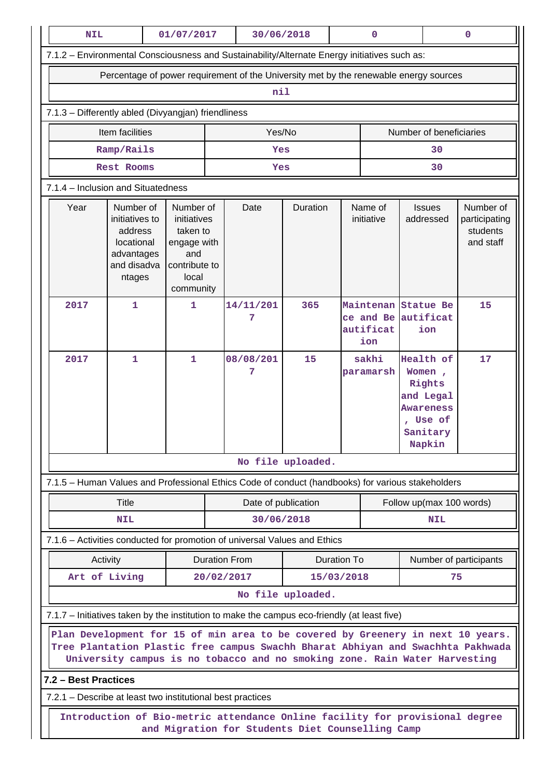|                                                                                                                                                                                                                                                  | <b>NIL</b><br>01/07/2017                                                                                                         |                                                                                                   | 30/06/2018 |                          | $\pmb{0}$         |                          |                       | $\mathbf 0$                                                                                    |                                                     |  |  |  |
|--------------------------------------------------------------------------------------------------------------------------------------------------------------------------------------------------------------------------------------------------|----------------------------------------------------------------------------------------------------------------------------------|---------------------------------------------------------------------------------------------------|------------|--------------------------|-------------------|--------------------------|-----------------------|------------------------------------------------------------------------------------------------|-----------------------------------------------------|--|--|--|
| 7.1.2 - Environmental Consciousness and Sustainability/Alternate Energy initiatives such as:                                                                                                                                                     |                                                                                                                                  |                                                                                                   |            |                          |                   |                          |                       |                                                                                                |                                                     |  |  |  |
| Percentage of power requirement of the University met by the renewable energy sources                                                                                                                                                            |                                                                                                                                  |                                                                                                   |            |                          |                   |                          |                       |                                                                                                |                                                     |  |  |  |
| nil                                                                                                                                                                                                                                              |                                                                                                                                  |                                                                                                   |            |                          |                   |                          |                       |                                                                                                |                                                     |  |  |  |
|                                                                                                                                                                                                                                                  | 7.1.3 - Differently abled (Divyangjan) friendliness                                                                              |                                                                                                   |            |                          |                   |                          |                       |                                                                                                |                                                     |  |  |  |
| Yes/No<br>Number of beneficiaries<br>Item facilities                                                                                                                                                                                             |                                                                                                                                  |                                                                                                   |            |                          |                   |                          |                       |                                                                                                |                                                     |  |  |  |
|                                                                                                                                                                                                                                                  | Ramp/Rails                                                                                                                       |                                                                                                   |            |                          | Yes               |                          |                       |                                                                                                | 30                                                  |  |  |  |
|                                                                                                                                                                                                                                                  | Rest Rooms                                                                                                                       |                                                                                                   | Yes        |                          |                   |                          | 30                    |                                                                                                |                                                     |  |  |  |
|                                                                                                                                                                                                                                                  | 7.1.4 - Inclusion and Situatedness                                                                                               |                                                                                                   |            |                          |                   |                          |                       |                                                                                                |                                                     |  |  |  |
| Year                                                                                                                                                                                                                                             | Number of<br>initiatives to<br>address<br>locational<br>advantages<br>and disadva<br>ntages                                      | Number of<br>initiatives<br>taken to<br>engage with<br>and<br>contribute to<br>local<br>community |            | Date                     | Duration          |                          | Name of<br>initiative | <b>Issues</b><br>addressed                                                                     | Number of<br>participating<br>students<br>and staff |  |  |  |
| 2017                                                                                                                                                                                                                                             | 1                                                                                                                                | 1                                                                                                 |            | 14/11/201<br>7           | 365               |                          | autificat<br>ion      | Maintenan Statue Be<br>ce and Be autificat<br>ion                                              | 15                                                  |  |  |  |
| 2017                                                                                                                                                                                                                                             | 1                                                                                                                                | 1                                                                                                 |            | 08/08/201<br>7           | 15                |                          | sakhi<br>paramarsh    | Health of<br>Women,<br>Rights<br>and Legal<br><b>Awareness</b><br>Use of<br>Sanitary<br>Napkin | 17                                                  |  |  |  |
|                                                                                                                                                                                                                                                  | No file uploaded.                                                                                                                |                                                                                                   |            |                          |                   |                          |                       |                                                                                                |                                                     |  |  |  |
|                                                                                                                                                                                                                                                  | 7.1.5 - Human Values and Professional Ethics Code of conduct (handbooks) for various stakeholders                                |                                                                                                   |            |                          |                   |                          |                       |                                                                                                |                                                     |  |  |  |
|                                                                                                                                                                                                                                                  | Date of publication                                                                                                              |                                                                                                   |            |                          |                   | Follow up(max 100 words) |                       |                                                                                                |                                                     |  |  |  |
|                                                                                                                                                                                                                                                  | <b>NIL</b>                                                                                                                       |                                                                                                   |            | 30/06/2018               |                   |                          | <b>NIL</b>            |                                                                                                |                                                     |  |  |  |
|                                                                                                                                                                                                                                                  | 7.1.6 - Activities conducted for promotion of universal Values and Ethics                                                        |                                                                                                   |            |                          |                   |                          |                       |                                                                                                |                                                     |  |  |  |
|                                                                                                                                                                                                                                                  | Activity                                                                                                                         |                                                                                                   |            | <b>Duration From</b>     |                   | Duration To              |                       | Number of participants                                                                         |                                                     |  |  |  |
|                                                                                                                                                                                                                                                  | Art of Living                                                                                                                    |                                                                                                   |            | 20/02/2017<br>15/03/2018 |                   |                          |                       |                                                                                                | 75                                                  |  |  |  |
|                                                                                                                                                                                                                                                  |                                                                                                                                  |                                                                                                   |            |                          | No file uploaded. |                          |                       |                                                                                                |                                                     |  |  |  |
|                                                                                                                                                                                                                                                  | 7.1.7 - Initiatives taken by the institution to make the campus eco-friendly (at least five)                                     |                                                                                                   |            |                          |                   |                          |                       |                                                                                                |                                                     |  |  |  |
| Plan Development for 15 of min area to be covered by Greenery in next 10 years.<br>Tree Plantation Plastic free campus Swachh Bharat Abhiyan and Swachhta Pakhwada<br>University campus is no tobacco and no smoking zone. Rain Water Harvesting |                                                                                                                                  |                                                                                                   |            |                          |                   |                          |                       |                                                                                                |                                                     |  |  |  |
| 7.2 - Best Practices                                                                                                                                                                                                                             |                                                                                                                                  |                                                                                                   |            |                          |                   |                          |                       |                                                                                                |                                                     |  |  |  |
|                                                                                                                                                                                                                                                  | 7.2.1 – Describe at least two institutional best practices                                                                       |                                                                                                   |            |                          |                   |                          |                       |                                                                                                |                                                     |  |  |  |
|                                                                                                                                                                                                                                                  | Introduction of Bio-metric attendance Online facility for provisional degree<br>and Migration for Students Diet Counselling Camp |                                                                                                   |            |                          |                   |                          |                       |                                                                                                |                                                     |  |  |  |